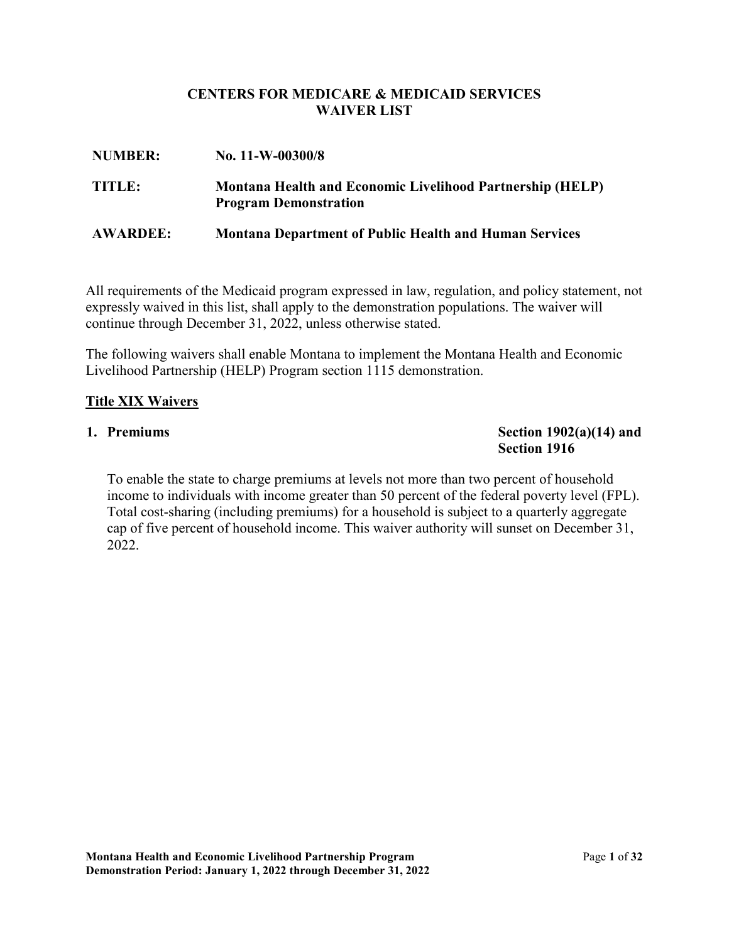### **CENTERS FOR MEDICARE & MEDICAID SERVICES WAIVER LIST**

| <b>NUMBER:</b>  | No. $11-W-00300/8$                                                                               |  |
|-----------------|--------------------------------------------------------------------------------------------------|--|
| TITLE:          | <b>Montana Health and Economic Livelihood Partnership (HELP)</b><br><b>Program Demonstration</b> |  |
| <b>AWARDEE:</b> | <b>Montana Department of Public Health and Human Services</b>                                    |  |

 expressly waived in this list, shall apply to the demonstration populations. The waiver will All requirements of the Medicaid program expressed in law, regulation, and policy statement, not continue through December 31, 2022, unless otherwise stated.

The following waivers shall enable Montana to implement the Montana Health and Economic Livelihood Partnership (HELP) Program section 1115 demonstration.

### **Title XIX Waivers**

#### 1. Premiums

#### **Section 1902(a)(14) and Section 1916**

To enable the state to charge premiums at levels not more than two percent of household income to individuals with income greater than 50 percent of the federal poverty level (FPL). Total cost-sharing (including premiums) for a household is subject to a quarterly aggregate cap of five percent of household income. This waiver authority will sunset on December 31, 2022.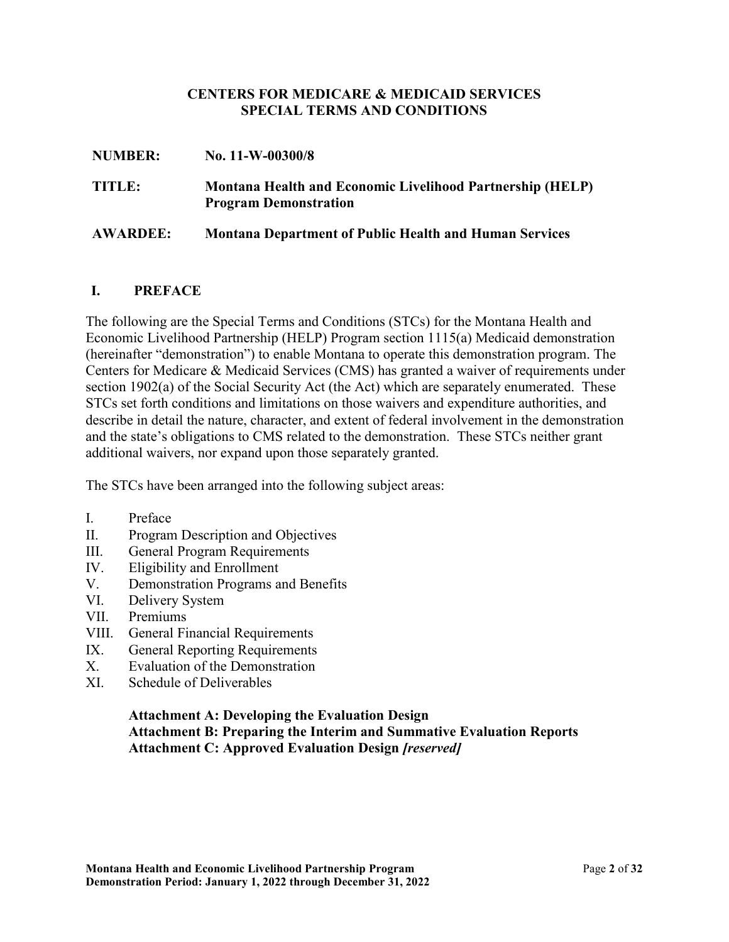#### **CENTERS FOR MEDICARE & MEDICAID SERVICES SPECIAL TERMS AND CONDITIONS**

| <b>NUMBER:</b>  | No. $11-W-00300/8$                                                                        |
|-----------------|-------------------------------------------------------------------------------------------|
| TITLE:          | Montana Health and Economic Livelihood Partnership (HELP)<br><b>Program Demonstration</b> |
| <b>AWARDEE:</b> | <b>Montana Department of Public Health and Human Services</b>                             |

#### **I. PREFACE**

 Centers for Medicare & Medicaid Services (CMS) has granted a waiver of requirements under and the state's obligations to CMS related to the demonstration. These STCs neither grant additional waivers, nor expand upon those separately granted. The following are the Special Terms and Conditions (STCs) for the Montana Health and Economic Livelihood Partnership (HELP) Program section 1115(a) Medicaid demonstration (hereinafter "demonstration") to enable Montana to operate this demonstration program. The section 1902(a) of the Social Security Act (the Act) which are separately enumerated. These STCs set forth conditions and limitations on those waivers and expenditure authorities, and describe in detail the nature, character, and extent of federal involvement in the demonstration

The STCs have been arranged into the following subject areas:

- I. Preface
- II. Program Description and Objectives
- III. General Program Requirements
- IV. Eligibility and Enrollment
- V. Demonstration Programs and Benefits
- VI. Delivery System
- VII. Premiums
- VIII. General Financial Requirements
- IX. General Reporting Requirements
- X. Evaluation of the Demonstration
- XI. Schedule of Deliverables

### **Attachment A: Developing the Evaluation Design Attachment B: Preparing the Interim and Summative Evaluation Reports Attachment C: Approved Evaluation Design** *[reserved]*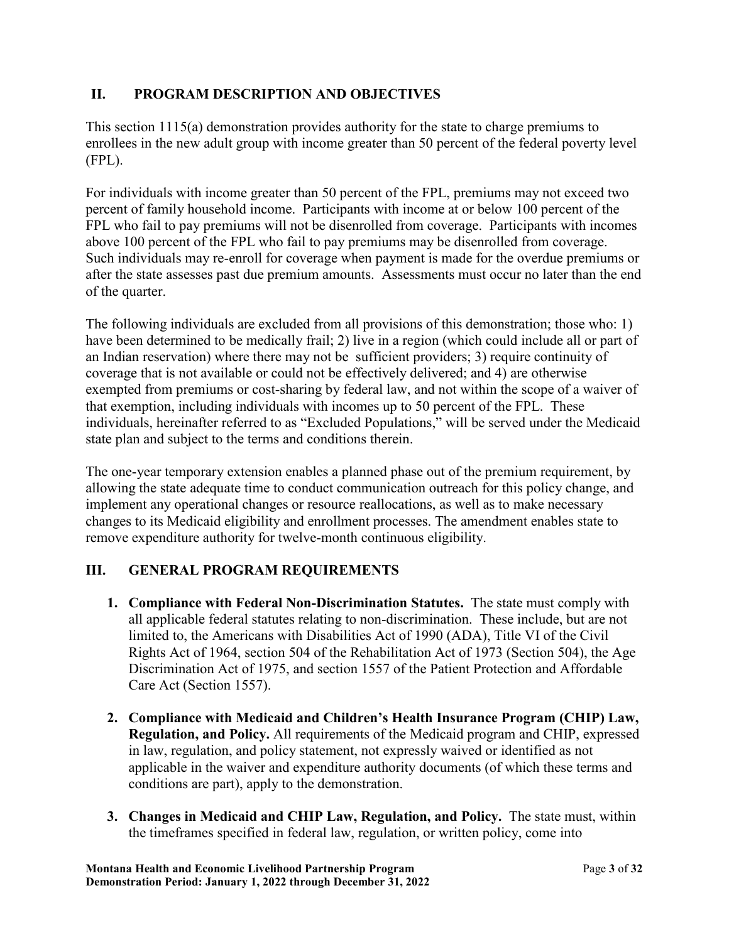# **II. PROGRAM DESCRIPTION AND OBJECTIVES**

This section 1115(a) demonstration provides authority for the state to charge premiums to enrollees in the new adult group with income greater than 50 percent of the federal poverty level (FPL).

 above 100 percent of the FPL who fail to pay premiums may be disenrolled from coverage. For individuals with income greater than 50 percent of the FPL, premiums may not exceed two percent of family household income. Participants with income at or below 100 percent of the FPL who fail to pay premiums will not be disenrolled from coverage. Participants with incomes Such individuals may re-enroll for coverage when payment is made for the overdue premiums or after the state assesses past due premium amounts. Assessments must occur no later than the end of the quarter.

 coverage that is not available or could not be effectively delivered; and 4) are otherwise exempted from premiums or cost-sharing by federal law, and not within the scope of a waiver of The following individuals are excluded from all provisions of this demonstration; those who: 1) have been determined to be medically frail; 2) live in a region (which could include all or part of an Indian reservation) where there may not be sufficient providers; 3) require continuity of that exemption, including individuals with incomes up to 50 percent of the FPL. These individuals, hereinafter referred to as "Excluded Populations," will be served under the Medicaid state plan and subject to the terms and conditions therein.

 The one-year temporary extension enables a planned phase out of the premium requirement, by remove expenditure authority for twelve-month continuous eligibility. allowing the state adequate time to conduct communication outreach for this policy change, and implement any operational changes or resource reallocations, as well as to make necessary changes to its Medicaid eligibility and enrollment processes. The amendment enables state to

# **III. GENERAL PROGRAM REQUIREMENTS**

- **1. Compliance with Federal Non-Discrimination Statutes.** The state must comply with all applicable federal statutes relating to non-discrimination. These include, but are not limited to, the Americans with Disabilities Act of 1990 (ADA), Title VI of the Civil Rights Act of 1964, section 504 of the Rehabilitation Act of 1973 (Section 504), the Age Discrimination Act of 1975, and section 1557 of the Patient Protection and Affordable Care Act (Section 1557).
- **2. Compliance with Medicaid and Children's Health Insurance Program (CHIP) Law, Regulation, and Policy.** All requirements of the Medicaid program and CHIP, expressed in law, regulation, and policy statement, not expressly waived or identified as not applicable in the waiver and expenditure authority documents (of which these terms and conditions are part), apply to the demonstration.
- **3. Changes in Medicaid and CHIP Law, Regulation, and Policy.** The state must, within the timeframes specified in federal law, regulation, or written policy, come into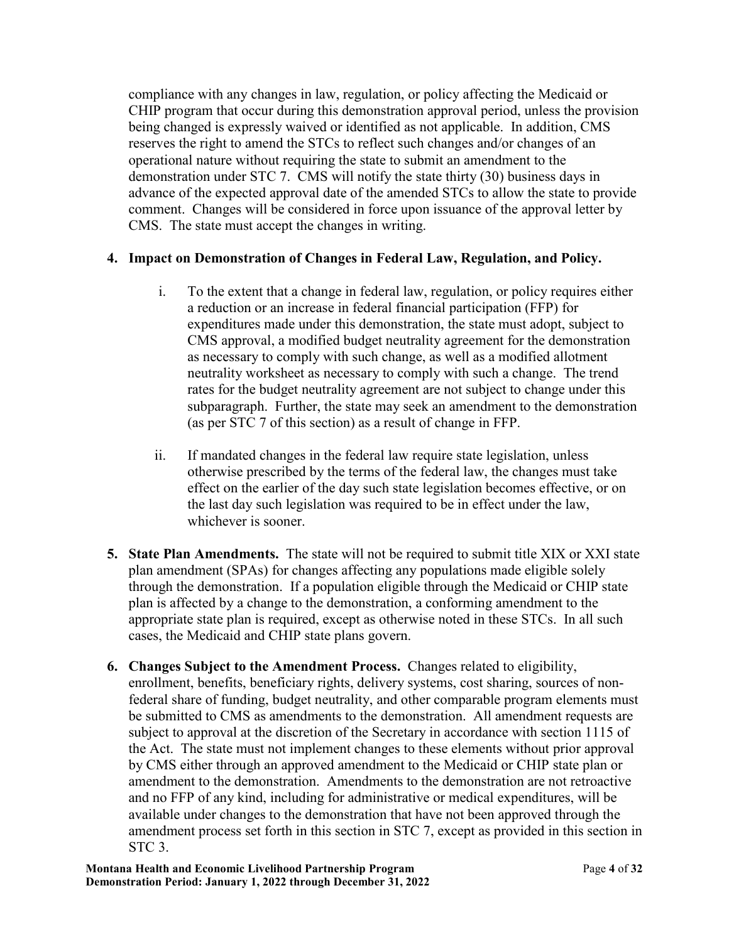being changed is expressly waived or identified as not applicable. In addition, CMS demonstration under STC 7. CMS will notify the state thirty (30) business days in comment. Changes will be considered in force upon issuance of the approval letter by CMS. The state must accept the changes in writing. compliance with any changes in law, regulation, or policy affecting the Medicaid or CHIP program that occur during this demonstration approval period, unless the provision reserves the right to amend the STCs to reflect such changes and/or changes of an operational nature without requiring the state to submit an amendment to the advance of the expected approval date of the amended STCs to allow the state to provide

# **4. Impact on Demonstration of Changes in Federal Law, Regulation, and Policy.**

- i. To the extent that a change in federal law, regulation, or policy requires either a reduction or an increase in federal financial participation (FFP) for expenditures made under this demonstration, the state must adopt, subject to CMS approval, a modified budget neutrality agreement for the demonstration as necessary to comply with such change, as well as a modified allotment neutrality worksheet as necessary to comply with such a change. The trend rates for the budget neutrality agreement are not subject to change under this subparagraph. Further, the state may seek an amendment to the demonstration (as per STC 7 of this section) as a result of change in FFP.
- ii. If mandated changes in the federal law require state legislation, unless otherwise prescribed by the terms of the federal law, the changes must take effect on the earlier of the day such state legislation becomes effective, or on the last day such legislation was required to be in effect under the law, whichever is sooner.
- **5. State Plan Amendments.** The state will not be required to submit title XIX or XXI state plan amendment (SPAs) for changes affecting any populations made eligible solely through the demonstration. If a population eligible through the Medicaid or CHIP state plan is affected by a change to the demonstration, a conforming amendment to the appropriate state plan is required, except as otherwise noted in these STCs. In all such cases, the Medicaid and CHIP state plans govern.
- **6. Changes Subject to the Amendment Process.** Changes related to eligibility, federal share of funding, budget neutrality, and other comparable program elements must enrollment, benefits, beneficiary rights, delivery systems, cost sharing, sources of nonbe submitted to CMS as amendments to the demonstration. All amendment requests are subject to approval at the discretion of the Secretary in accordance with section 1115 of the Act. The state must not implement changes to these elements without prior approval by CMS either through an approved amendment to the Medicaid or CHIP state plan or amendment to the demonstration. Amendments to the demonstration are not retroactive and no FFP of any kind, including for administrative or medical expenditures, will be available under changes to the demonstration that have not been approved through the amendment process set forth in this section in STC 7, except as provided in this section in STC 3.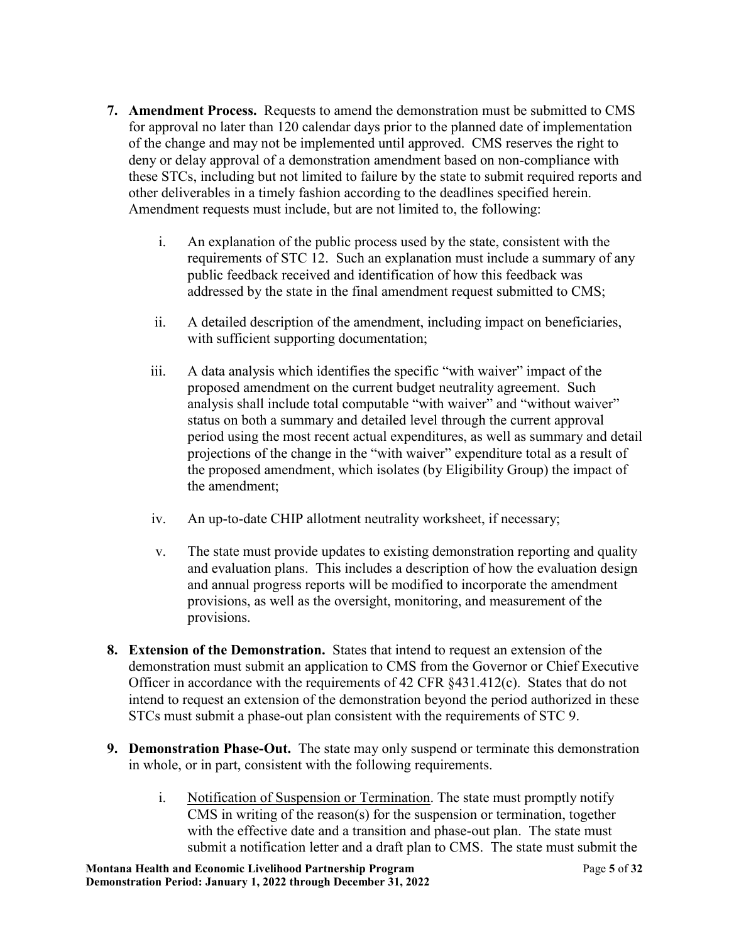- **7. Amendment Process.** Requests to amend the demonstration must be submitted to CMS for approval no later than 120 calendar days prior to the planned date of implementation of the change and may not be implemented until approved. CMS reserves the right to deny or delay approval of a demonstration amendment based on non-compliance with these STCs, including but not limited to failure by the state to submit required reports and other deliverables in a timely fashion according to the deadlines specified herein. Amendment requests must include, but are not limited to, the following:
	- requirements of STC 12. Such an explanation must include a summary of any addressed by the state in the final amendment request submitted to CMS; i. An explanation of the public process used by the state, consistent with the public feedback received and identification of how this feedback was
	- ii. A detailed description of the amendment, including impact on beneficiaries, with sufficient supporting documentation;
	- proposed amendment on the current budget neutrality agreement. Such iii. A data analysis which identifies the specific "with waiver" impact of the analysis shall include total computable "with waiver" and "without waiver" status on both a summary and detailed level through the current approval period using the most recent actual expenditures, as well as summary and detail projections of the change in the "with waiver" expenditure total as a result of the proposed amendment, which isolates (by Eligibility Group) the impact of the amendment;
	- iv. An up-to-date CHIP allotment neutrality worksheet, if necessary;
	- v. The state must provide updates to existing demonstration reporting and quality and evaluation plans. This includes a description of how the evaluation design and annual progress reports will be modified to incorporate the amendment provisions, as well as the oversight, monitoring, and measurement of the provisions.
- **8. Extension of the Demonstration.** States that intend to request an extension of the demonstration must submit an application to CMS from the Governor or Chief Executive Officer in accordance with the requirements of 42 CFR §431.412(c). States that do not intend to request an extension of the demonstration beyond the period authorized in these STCs must submit a phase-out plan consistent with the requirements of STC 9.
- **9. Demonstration Phase-Out.** The state may only suspend or terminate this demonstration in whole, or in part, consistent with the following requirements.
	- i. Notification of Suspension or Termination. The state must promptly notify CMS in writing of the reason(s) for the suspension or termination, together with the effective date and a transition and phase-out plan. The state must submit a notification letter and a draft plan to CMS. The state must submit the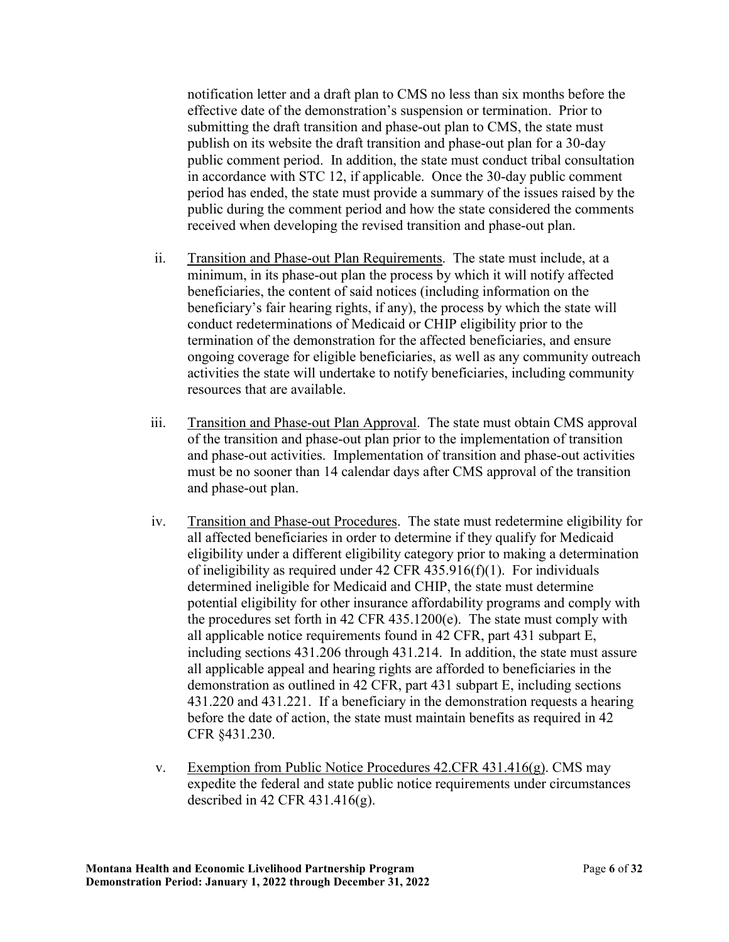period has ended, the state must provide a summary of the issues raised by the notification letter and a draft plan to CMS no less than six months before the effective date of the demonstration's suspension or termination. Prior to submitting the draft transition and phase-out plan to CMS, the state must publish on its website the draft transition and phase-out plan for a 30-day public comment period. In addition, the state must conduct tribal consultation in accordance with STC 12, if applicable. Once the 30-day public comment public during the comment period and how the state considered the comments received when developing the revised transition and phase-out plan.

- ii. Transition and Phase-out Plan Requirements. The state must include, at a ongoing coverage for eligible beneficiaries, as well as any community outreach minimum, in its phase-out plan the process by which it will notify affected beneficiaries, the content of said notices (including information on the beneficiary's fair hearing rights, if any), the process by which the state will conduct redeterminations of Medicaid or CHIP eligibility prior to the termination of the demonstration for the affected beneficiaries, and ensure activities the state will undertake to notify beneficiaries, including community resources that are available.
- iii. Transition and Phase-out Plan Approval. The state must obtain CMS approval of the transition and phase-out plan prior to the implementation of transition and phase-out activities. Implementation of transition and phase-out activities must be no sooner than 14 calendar days after CMS approval of the transition and phase-out plan.
- iv. Transition and Phase-out Procedures. The state must redetermine eligibility for the procedures set forth in 42 CFR 435.1200(e). The state must comply with all affected beneficiaries in order to determine if they qualify for Medicaid eligibility under a different eligibility category prior to making a determination of ineligibility as required under 42 CFR 435.916(f)(1). For individuals determined ineligible for Medicaid and CHIP, the state must determine potential eligibility for other insurance affordability programs and comply with all applicable notice requirements found in 42 CFR, part 431 subpart E, including sections 431.206 through 431.214. In addition, the state must assure all applicable appeal and hearing rights are afforded to beneficiaries in the demonstration as outlined in 42 CFR, part 431 subpart E, including sections 431.220 and 431.221. If a beneficiary in the demonstration requests a hearing before the date of action, the state must maintain benefits as required in 42 CFR §431.230.
- v. Exemption from Public Notice Procedures 42.CFR 431.416(g). CMS may expedite the federal and state public notice requirements under circumstances described in 42 CFR 431.416 $(g)$ .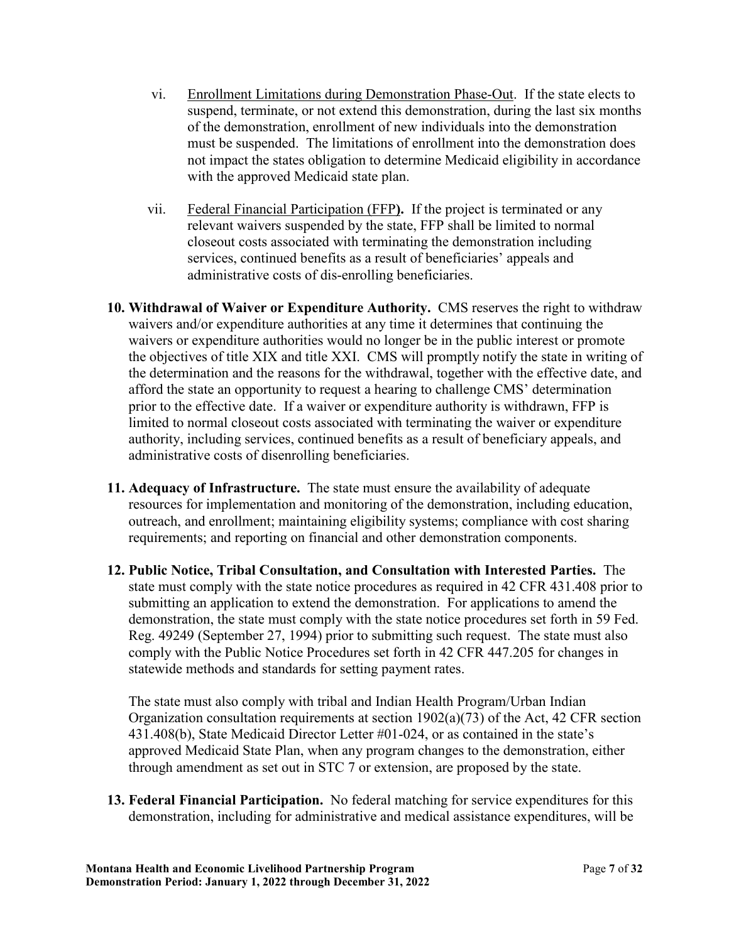- vi. Enrollment Limitations during Demonstration Phase-Out. If the state elects to not impact the states obligation to determine Medicaid eligibility in accordance suspend, terminate, or not extend this demonstration, during the last six months of the demonstration, enrollment of new individuals into the demonstration must be suspended. The limitations of enrollment into the demonstration does with the approved Medicaid state plan.
- vii. Federal Financial Participation (FFP**).** If the project is terminated or any relevant waivers suspended by the state, FFP shall be limited to normal closeout costs associated with terminating the demonstration including services, continued benefits as a result of beneficiaries' appeals and administrative costs of dis-enrolling beneficiaries.
- the objectives of title XIX and title XXI. CMS will promptly notify the state in writing of prior to the effective date. If a waiver or expenditure authority is withdrawn, FFP is limited to normal closeout costs associated with terminating the waiver or expenditure **10. Withdrawal of Waiver or Expenditure Authority.** CMS reserves the right to withdraw waivers and/or expenditure authorities at any time it determines that continuing the waivers or expenditure authorities would no longer be in the public interest or promote the determination and the reasons for the withdrawal, together with the effective date, and afford the state an opportunity to request a hearing to challenge CMS' determination authority, including services, continued benefits as a result of beneficiary appeals, and administrative costs of disenrolling beneficiaries.
- **11. Adequacy of Infrastructure.** The state must ensure the availability of adequate resources for implementation and monitoring of the demonstration, including education, outreach, and enrollment; maintaining eligibility systems; compliance with cost sharing requirements; and reporting on financial and other demonstration components.
- **12. Public Notice, Tribal Consultation, and Consultation with Interested Parties.** The comply with the Public Notice Procedures set forth in 42 CFR 447.205 for changes in state must comply with the state notice procedures as required in 42 CFR 431.408 prior to submitting an application to extend the demonstration. For applications to amend the demonstration, the state must comply with the state notice procedures set forth in 59 Fed. Reg. 49249 (September 27, 1994) prior to submitting such request. The state must also statewide methods and standards for setting payment rates.

 The state must also comply with tribal and Indian Health Program/Urban Indian Organization consultation requirements at section 1902(a)(73) of the Act, 42 CFR section 431.408(b), State Medicaid Director Letter #01-024, or as contained in the state's approved Medicaid State Plan, when any program changes to the demonstration, either through amendment as set out in STC 7 or extension, are proposed by the state.

 **13. Federal Financial Participation.** No federal matching for service expenditures for this demonstration, including for administrative and medical assistance expenditures, will be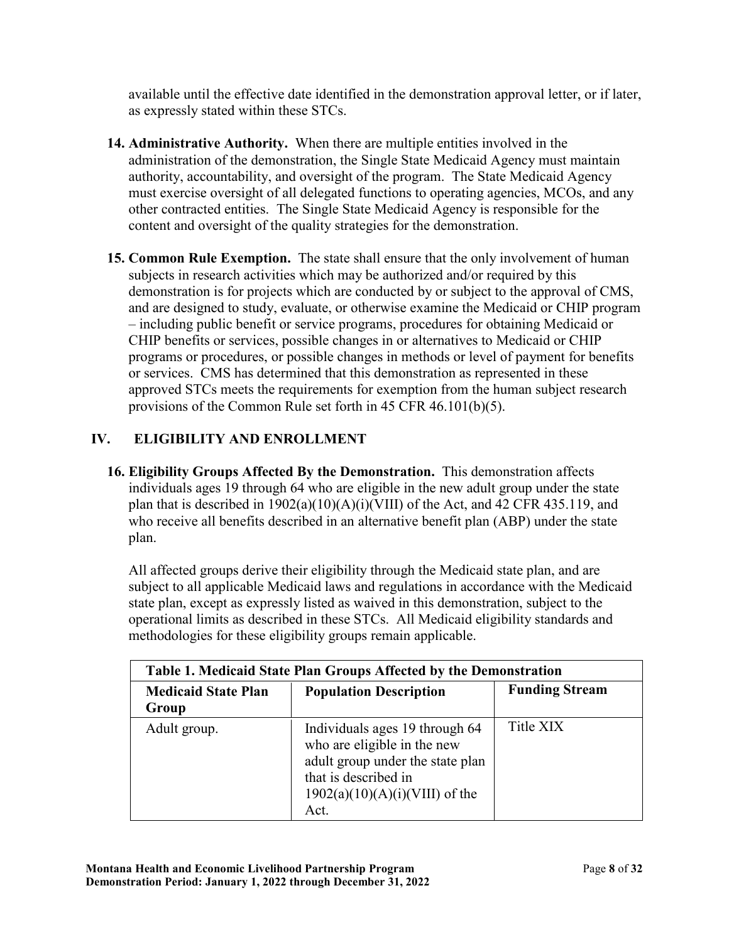available until the effective date identified in the demonstration approval letter, or if later, as expressly stated within these STCs.

- **14. Administrative Authority.** When there are multiple entities involved in the other contracted entities. The Single State Medicaid Agency is responsible for the administration of the demonstration, the Single State Medicaid Agency must maintain authority, accountability, and oversight of the program. The State Medicaid Agency must exercise oversight of all delegated functions to operating agencies, MCOs, and any content and oversight of the quality strategies for the demonstration.
- and are designed to study, evaluate, or otherwise examine the Medicaid or CHIP program **15. Common Rule Exemption.** The state shall ensure that the only involvement of human subjects in research activities which may be authorized and/or required by this demonstration is for projects which are conducted by or subject to the approval of CMS, – including public benefit or service programs, procedures for obtaining Medicaid or CHIP benefits or services, possible changes in or alternatives to Medicaid or CHIP programs or procedures, or possible changes in methods or level of payment for benefits or services. CMS has determined that this demonstration as represented in these approved STCs meets the requirements for exemption from the human subject research provisions of the Common Rule set forth in 45 CFR 46.101(b)(5).

# **IV. ELIGIBILITY AND ENROLLMENT**

 **16. Eligibility Groups Affected By the Demonstration.** This demonstration affects individuals ages 19 through 64 who are eligible in the new adult group under the state plan that is described in  $1902(a)(10)(A)(i)(VIII)$  of the Act, and 42 CFR 435.119, and who receive all benefits described in an alternative benefit plan (ABP) under the state plan.

 methodologies for these eligibility groups remain applicable. All affected groups derive their eligibility through the Medicaid state plan, and are subject to all applicable Medicaid laws and regulations in accordance with the Medicaid state plan, except as expressly listed as waived in this demonstration, subject to the operational limits as described in these STCs. All Medicaid eligibility standards and

| Table 1. Medicaid State Plan Groups Affected by the Demonstration |                                                                                                                                                                       |                       |  |  |  |  |
|-------------------------------------------------------------------|-----------------------------------------------------------------------------------------------------------------------------------------------------------------------|-----------------------|--|--|--|--|
| <b>Medicaid State Plan</b><br>Group                               | <b>Population Description</b>                                                                                                                                         | <b>Funding Stream</b> |  |  |  |  |
| Adult group.                                                      | Individuals ages 19 through 64<br>who are eligible in the new<br>adult group under the state plan<br>that is described in<br>$1902(a)(10)(A)(i)(VIII)$ of the<br>Act. | Title XIX             |  |  |  |  |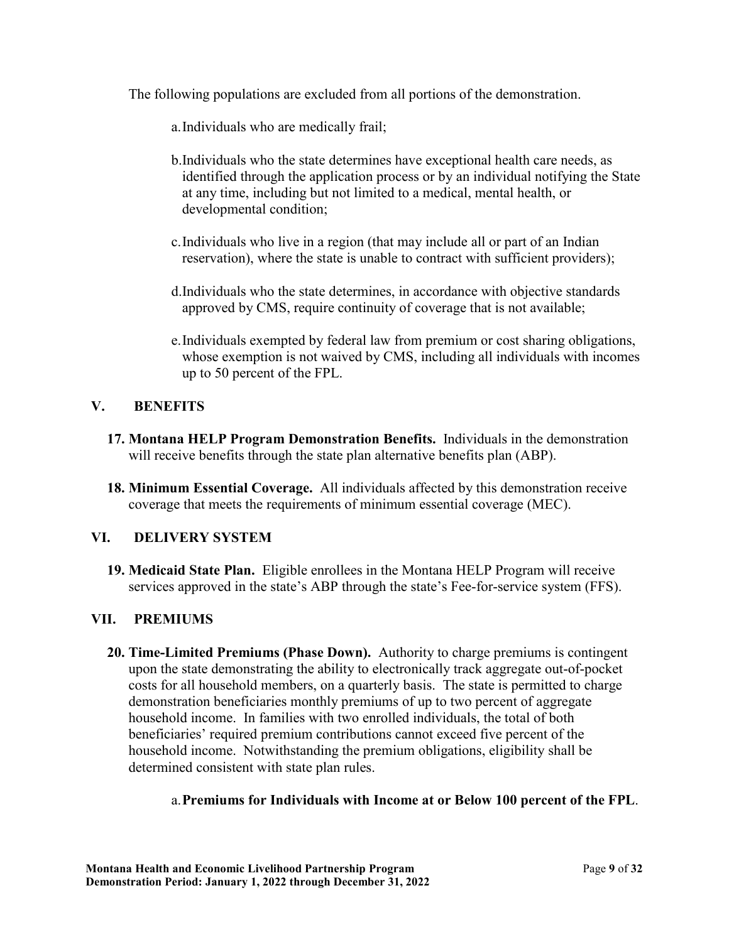The following populations are excluded from all portions of the demonstration.

- a.Individuals who are medically frail;
- b.Individuals who the state determines have exceptional health care needs, as identified through the application process or by an individual notifying the State at any time, including but not limited to a medical, mental health, or developmental condition;
- c.Individuals who live in a region (that may include all or part of an Indian reservation), where the state is unable to contract with sufficient providers);
- d.Individuals who the state determines, in accordance with objective standards approved by CMS, require continuity of coverage that is not available;
- e.Individuals exempted by federal law from premium or cost sharing obligations, whose exemption is not waived by CMS, including all individuals with incomes up to 50 percent of the FPL.

## **V. BENEFITS**

- **17. Montana HELP Program Demonstration Benefits.** Individuals in the demonstration will receive benefits through the state plan alternative benefits plan (ABP).
- **18. Minimum Essential Coverage.** All individuals affected by this demonstration receive coverage that meets the requirements of minimum essential coverage (MEC).

## **VI. DELIVERY SYSTEM**

 **19. Medicaid State Plan.** Eligible enrollees in the Montana HELP Program will receive services approved in the state's ABP through the state's Fee-for-service system (FFS).

## **VII. PREMIUMS**

 **20. Time-Limited Premiums (Phase Down).** Authority to charge premiums is contingent costs for all household members, on a quarterly basis. The state is permitted to charge demonstration beneficiaries monthly premiums of up to two percent of aggregate household income. Notwithstanding the premium obligations, eligibility shall be upon the state demonstrating the ability to electronically track aggregate out-of-pocket household income. In families with two enrolled individuals, the total of both beneficiaries' required premium contributions cannot exceed five percent of the determined consistent with state plan rules.

## a.**Premiums for Individuals with Income at or Below 100 percent of the FPL**.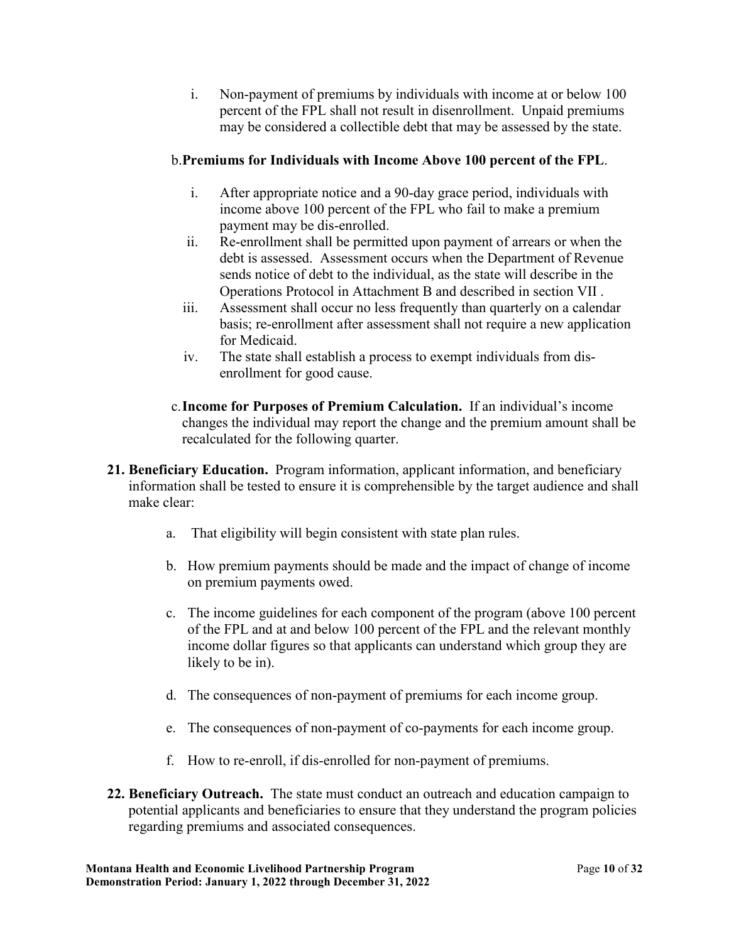i. Non-payment of premiums by individuals with income at or below 100 percent of the FPL shall not result in disenrollment. Unpaid premiums may be considered a collectible debt that may be assessed by the state.

## b.**Premiums for Individuals with Income Above 100 percent of the FPL**.

- i. After appropriate notice and a 90-day grace period, individuals with income above 100 percent of the FPL who fail to make a premium payment may be dis-enrolled.
- ii. Re-enrollment shall be permitted upon payment of arrears or when the debt is assessed. Assessment occurs when the Department of Revenue sends notice of debt to the individual, as the state will describe in the Operations Protocol in Attachment B and described in section VII .
- basis; re-enrollment after assessment shall not require a new application iii. Assessment shall occur no less frequently than quarterly on a calendar for Medicaid.
- enrollment for good cause. iv. The state shall establish a process to exempt individuals from dis-
- c.**Income for Purposes of Premium Calculation.** If an individual's income changes the individual may report the change and the premium amount shall be recalculated for the following quarter.
- **21. Beneficiary Education.** Program information, applicant information, and beneficiary information shall be tested to ensure it is comprehensible by the target audience and shall make clear:
	- a. That eligibility will begin consistent with state plan rules.
	- b. How premium payments should be made and the impact of change of income on premium payments owed.
	- c. The income guidelines for each component of the program (above 100 percent of the FPL and at and below 100 percent of the FPL and the relevant monthly income dollar figures so that applicants can understand which group they are likely to be in).
	- d. The consequences of non-payment of premiums for each income group.
	- e. The consequences of non-payment of co-payments for each income group.
	- f. How to re-enroll, if dis-enrolled for non-payment of premiums.
- **22. Beneficiary Outreach.** The state must conduct an outreach and education campaign to potential applicants and beneficiaries to ensure that they understand the program policies regarding premiums and associated consequences.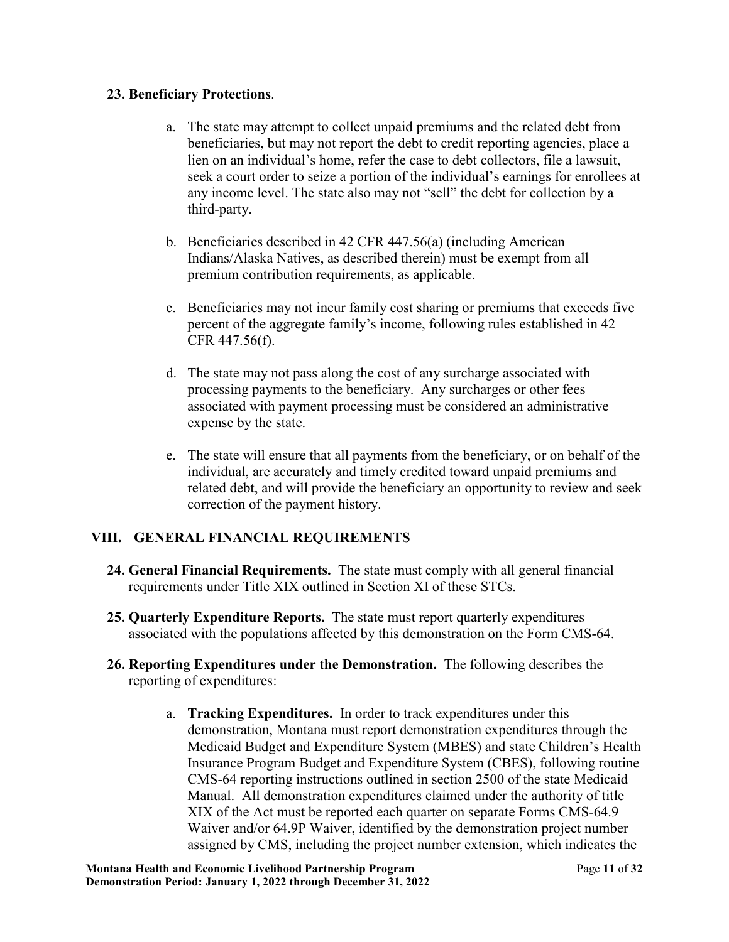### **23. Beneficiary Protections**.

- beneficiaries, but may not report the debt to credit reporting agencies, place a a. The state may attempt to collect unpaid premiums and the related debt from lien on an individual's home, refer the case to debt collectors, file a lawsuit, seek a court order to seize a portion of the individual's earnings for enrollees at any income level. The state also may not "sell" the debt for collection by a third-party.
- b. Beneficiaries described in 42 CFR 447.56(a) (including American Indians/Alaska Natives, as described therein) must be exempt from all premium contribution requirements, as applicable.
- c. Beneficiaries may not incur family cost sharing or premiums that exceeds five percent of the aggregate family's income, following rules established in 42 CFR 447.56(f).
- d. The state may not pass along the cost of any surcharge associated with processing payments to the beneficiary. Any surcharges or other fees associated with payment processing must be considered an administrative expense by the state.
- e. The state will ensure that all payments from the beneficiary, or on behalf of the individual, are accurately and timely credited toward unpaid premiums and related debt, and will provide the beneficiary an opportunity to review and seek correction of the payment history.

## **VIII. GENERAL FINANCIAL REQUIREMENTS**

- **24. General Financial Requirements.** The state must comply with all general financial requirements under Title XIX outlined in Section XI of these STCs.
- **25. Quarterly Expenditure Reports.** The state must report quarterly expenditures associated with the populations affected by this demonstration on the Form CMS-64.
- **26. Reporting Expenditures under the Demonstration.** The following describes the reporting of expenditures:
	- a. **Tracking Expenditures.** In order to track expenditures under this Insurance Program Budget and Expenditure System (CBES), following routine demonstration, Montana must report demonstration expenditures through the Medicaid Budget and Expenditure System (MBES) and state Children's Health CMS-64 reporting instructions outlined in section 2500 of the state Medicaid Manual. All demonstration expenditures claimed under the authority of title XIX of the Act must be reported each quarter on separate Forms CMS-64.9 Waiver and/or 64.9P Waiver, identified by the demonstration project number assigned by CMS, including the project number extension, which indicates the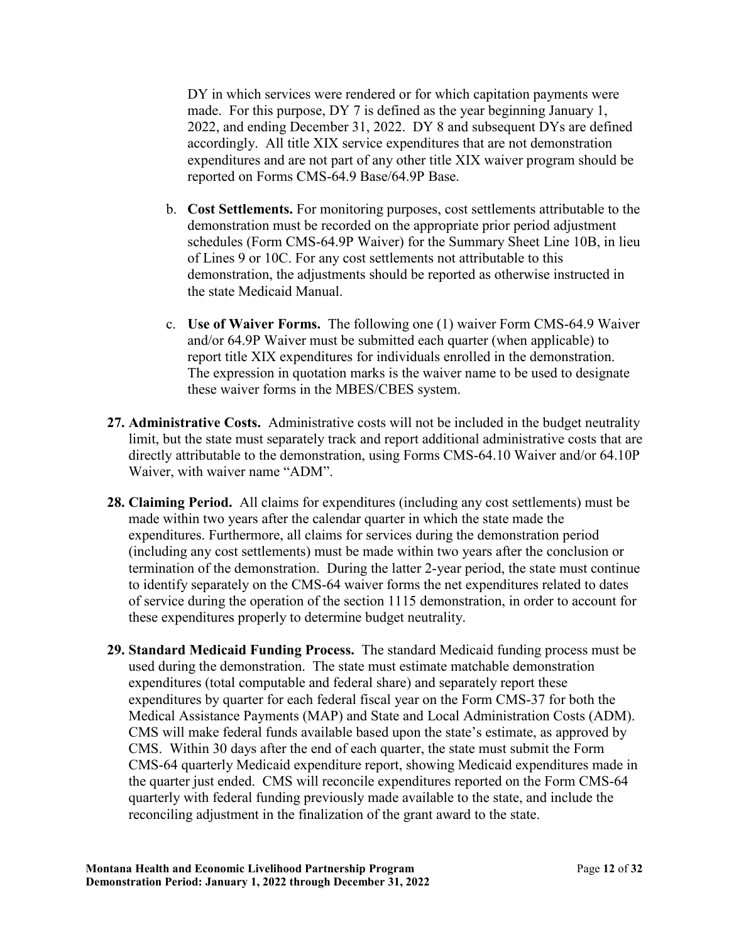made. For this purpose, DY 7 is defined as the year beginning January 1, reported on Forms CMS-64.9 [Base/64.9P](https://Base/64.9P) Base. DY in which services were rendered or for which capitation payments were 2022, and ending December 31, 2022. DY 8 and subsequent DYs are defined accordingly. All title XIX service expenditures that are not demonstration expenditures and are not part of any other title XIX waiver program should be

- schedules (Form [CMS-64.9P](https://CMS-64.9P) Waiver) for the Summary Sheet Line 10B, in lieu of Lines 9 or 10C. For any cost settlements not attributable to this b. **Cost Settlements.** For monitoring purposes, cost settlements attributable to the demonstration must be recorded on the appropriate prior period adjustment demonstration, the adjustments should be reported as otherwise instructed in the state Medicaid Manual.
- c. **Use of Waiver Forms.** The following one (1) waiver Form CMS-64.9 Waiver report title XIX expenditures for individuals enrolled in the demonstration. and/or 64.9P Waiver must be submitted each quarter (when applicable) to The expression in quotation marks is the waiver name to be used to designate. these waiver forms in the MBES/CBES system.
- **27. Administrative Costs.** Administrative costs will not be included in the budget neutrality directly attributable to the demonstration, using Forms [CMS-64.10](https://CMS-64.10) Waiver and/or 64.10P limit, but the state must separately track and report additional administrative costs that are Waiver, with waiver name "ADM".
- **28. Claiming Period.** All claims for expenditures (including any cost settlements) must be termination of the demonstration. During the latter 2-year period, the state must continue made within two years after the calendar quarter in which the state made the expenditures. Furthermore, all claims for services during the demonstration period (including any cost settlements) must be made within two years after the conclusion or to identify separately on the CMS-64 waiver forms the net expenditures related to dates of service during the operation of the section 1115 demonstration, in order to account for these expenditures properly to determine budget neutrality.
- **29. Standard Medicaid Funding Process.** The standard Medicaid funding process must be CMS will make federal funds available based upon the state's estimate, as approved by used during the demonstration. The state must estimate matchable demonstration expenditures (total computable and federal share) and separately report these expenditures by quarter for each federal fiscal year on the Form CMS-37 for both the Medical Assistance Payments (MAP) and State and Local Administration Costs (ADM). CMS. Within 30 days after the end of each quarter, the state must submit the Form CMS-64 quarterly Medicaid expenditure report, showing Medicaid expenditures made in the quarter just ended. CMS will reconcile expenditures reported on the Form CMS-64 quarterly with federal funding previously made available to the state, and include the reconciling adjustment in the finalization of the grant award to the state.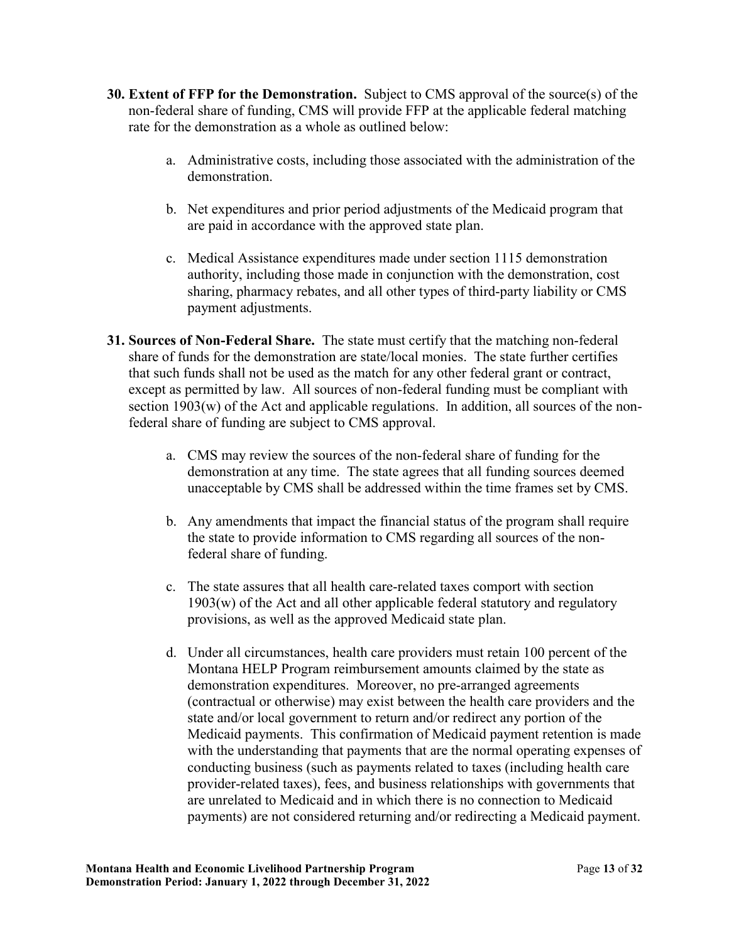- **30. Extent of FFP for the Demonstration.** Subject to CMS approval of the source(s) of the non-federal share of funding, CMS will provide FFP at the applicable federal matching rate for the demonstration as a whole as outlined below:
	- a. Administrative costs, including those associated with the administration of the demonstration.
	- b. Net expenditures and prior period adjustments of the Medicaid program that are paid in accordance with the approved state plan.
	- c. Medical Assistance expenditures made under section 1115 demonstration authority, including those made in conjunction with the demonstration, cost sharing, pharmacy rebates, and all other types of third-party liability or CMS payment adjustments.
- **31. Sources of Non-Federal Share.** The state must certify that the matching non-federal share of funds for the demonstration are state/local monies. The state further certifies section 1903(w) of the Act and applicable regulations. In addition, all sources of the nonthat such funds shall not be used as the match for any other federal grant or contract, except as permitted by law. All sources of non-federal funding must be compliant with federal share of funding are subject to CMS approval.
	- demonstration at any time. The state agrees that all funding sources deemed a. CMS may review the sources of the non-federal share of funding for the unacceptable by CMS shall be addressed within the time frames set by CMS.
	- b. Any amendments that impact the financial status of the program shall require the state to provide information to CMS regarding all sources of the nonfederal share of funding.
	- c. The state assures that all health care-related taxes comport with section 1903(w) of the Act and all other applicable federal statutory and regulatory provisions, as well as the approved Medicaid state plan.
	- demonstration expenditures. Moreover, no pre-arranged agreements d. Under all circumstances, health care providers must retain 100 percent of the Montana HELP Program reimbursement amounts claimed by the state as (contractual or otherwise) may exist between the health care providers and the state and/or local government to return and/or redirect any portion of the Medicaid payments. This confirmation of Medicaid payment retention is made with the understanding that payments that are the normal operating expenses of conducting business (such as payments related to taxes (including health care provider-related taxes), fees, and business relationships with governments that are unrelated to Medicaid and in which there is no connection to Medicaid payments) are not considered returning and/or redirecting a Medicaid payment.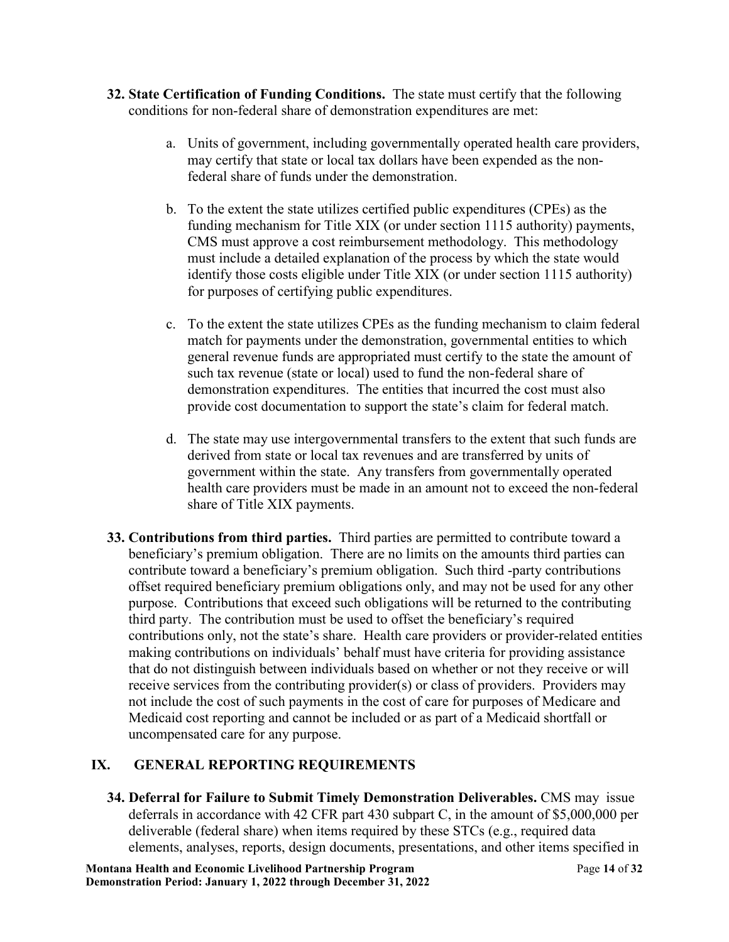- **32. State Certification of Funding Conditions.** The state must certify that the following conditions for non-federal share of demonstration expenditures are met:
	- a. Units of government, including governmentally operated health care providers, may certify that state or local tax dollars have been expended as the nonfederal share of funds under the demonstration.
	- b. To the extent the state utilizes certified public expenditures (CPEs) as the funding mechanism for Title XIX (or under section 1115 authority) payments, CMS must approve a cost reimbursement methodology. This methodology must include a detailed explanation of the process by which the state would identify those costs eligible under Title XIX (or under section 1115 authority) for purposes of certifying public expenditures.
	- demonstration expenditures. The entities that incurred the cost must also c. To the extent the state utilizes CPEs as the funding mechanism to claim federal match for payments under the demonstration, governmental entities to which general revenue funds are appropriated must certify to the state the amount of such tax revenue (state or local) used to fund the non-federal share of provide cost documentation to support the state's claim for federal match.
	- d. The state may use intergovernmental transfers to the extent that such funds are derived from state or local tax revenues and are transferred by units of government within the state. Any transfers from governmentally operated health care providers must be made in an amount not to exceed the non-federal share of Title XIX payments.
- **33. Contributions from third parties.** Third parties are permitted to contribute toward a purpose. Contributions that exceed such obligations will be returned to the contributing beneficiary's premium obligation. There are no limits on the amounts third parties can contribute toward a beneficiary's premium obligation. Such third -party contributions offset required beneficiary premium obligations only, and may not be used for any other third party. The contribution must be used to offset the beneficiary's required contributions only, not the state's share. Health care providers or provider-related entities making contributions on individuals' behalf must have criteria for providing assistance that do not distinguish between individuals based on whether or not they receive or will receive services from the contributing provider(s) or class of providers. Providers may not include the cost of such payments in the cost of care for purposes of Medicare and Medicaid cost reporting and cannot be included or as part of a Medicaid shortfall or uncompensated care for any purpose.

## **IX. GENERAL REPORTING REQUIREMENTS**

 **34. Deferral for Failure to Submit Timely Demonstration Deliverables.** CMS may issue deferrals in accordance with 42 CFR part 430 subpart C, in the amount of \$5,000,000 per deliverable (federal share) when items required by these STCs (e.g., required data elements, analyses, reports, design documents, presentations, and other items specified in

 **Montana Health and Economic Livelihood Partnership Program** Page **14** of **32 Demonstration Period: January 1, 2022 through December 31, 2022**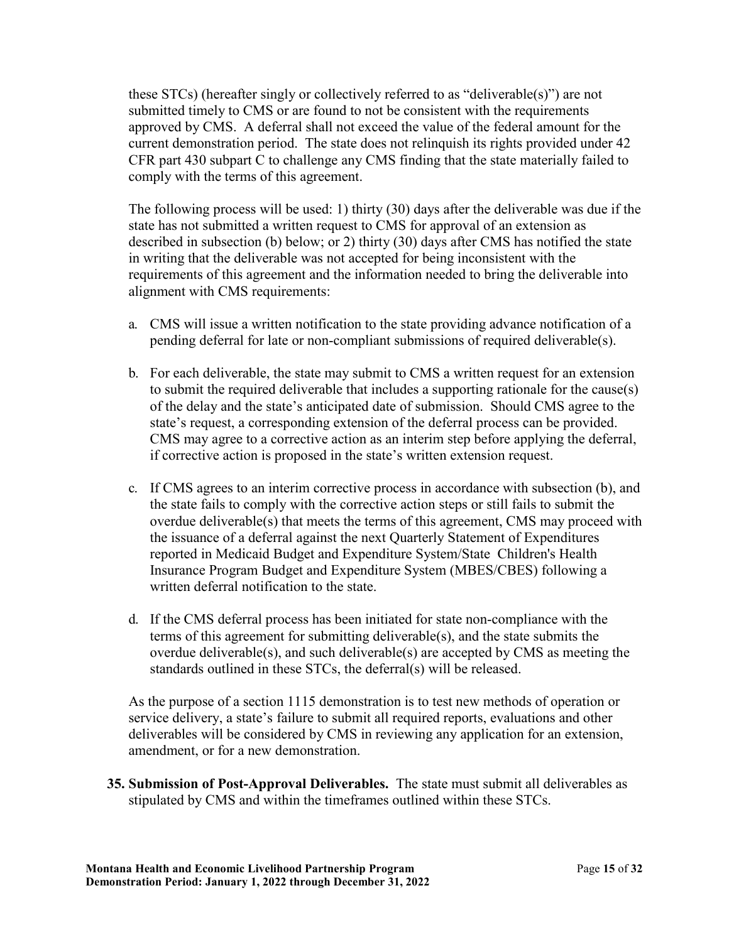these STCs) (hereafter singly or collectively referred to as "deliverable(s)") are not submitted timely to CMS or are found to not be consistent with the requirements approved by CMS. A deferral shall not exceed the value of the federal amount for the current demonstration period. The state does not relinquish its rights provided under 42 CFR part 430 subpart C to challenge any CMS finding that the state materially failed to comply with the terms of this agreement.

 The following process will be used: 1) thirty (30) days after the deliverable was due if the state has not submitted a written request to CMS for approval of an extension as described in subsection (b) below; or 2) thirty (30) days after CMS has notified the state in writing that the deliverable was not accepted for being inconsistent with the requirements of this agreement and the information needed to bring the deliverable into alignment with CMS requirements:

- a. CMS will issue a written notification to the state providing advance notification of a pending deferral for late or non-compliant submissions of required deliverable(s).
- b. For each deliverable, the state may submit to CMS a written request for an extension to submit the required deliverable that includes a supporting rationale for the cause(s) of the delay and the state's anticipated date of submission. Should CMS agree to the state's request, a corresponding extension of the deferral process can be provided. CMS may agree to a corrective action as an interim step before applying the deferral, if corrective action is proposed in the state's written extension request.
- c. If CMS agrees to an interim corrective process in accordance with subsection (b), and the state fails to comply with the corrective action steps or still fails to submit the overdue deliverable(s) that meets the terms of this agreement, CMS may proceed with the issuance of a deferral against the next Quarterly Statement of Expenditures reported in Medicaid Budget and Expenditure System/State Children's Health Insurance Program Budget and Expenditure System (MBES/CBES) following a written deferral notification to the state.
- terms of this agreement for submitting deliverable(s), and the state submits the d. If the CMS deferral process has been initiated for state non-compliance with the overdue deliverable(s), and such deliverable(s) are accepted by CMS as meeting the standards outlined in these STCs, the deferral(s) will be released.

 service delivery, a state's failure to submit all required reports, evaluations and other As the purpose of a section 1115 demonstration is to test new methods of operation or deliverables will be considered by CMS in reviewing any application for an extension, amendment, or for a new demonstration.

 **35. Submission of Post-Approval Deliverables.** The state must submit all deliverables as stipulated by CMS and within the timeframes outlined within these STCs.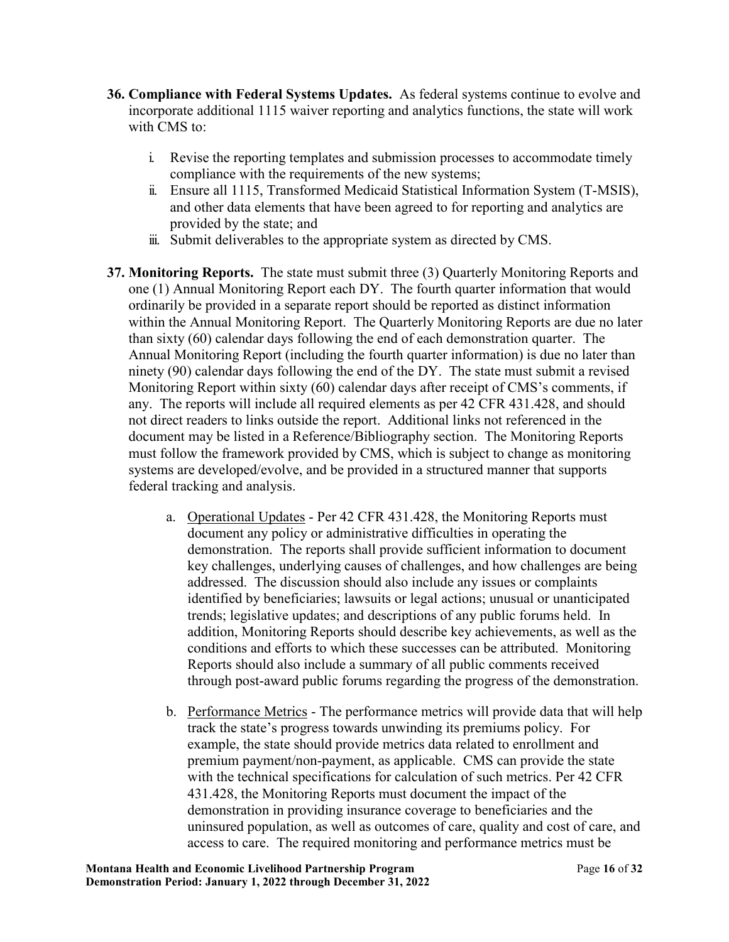- **36. Compliance with Federal Systems Updates.** As federal systems continue to evolve and incorporate additional 1115 waiver reporting and analytics functions, the state will work with CMS to:
	- i. Revise the reporting templates and submission processes to accommodate timely compliance with the requirements of the new systems;
	- ii. Ensure all 1115, Transformed Medicaid Statistical Information System (T-MSIS), and other data elements that have been agreed to for reporting and analytics are provided by the state; and
	- iii. Submit deliverables to the appropriate system as directed by CMS.
- one (1) Annual Monitoring Report each DY. The fourth quarter information that would within the Annual Monitoring Report. The Quarterly Monitoring Reports are due no later than sixty (60) calendar days following the end of each demonstration quarter. The Annual Monitoring Report (including the fourth quarter information) is due no later than not direct readers to links outside the report. Additional links not referenced in the systems are developed/evolve, and be provided in a structured manner that supports **37. Monitoring Reports.** The state must submit three (3) Quarterly Monitoring Reports and ordinarily be provided in a separate report should be reported as distinct information ninety (90) calendar days following the end of the DY. The state must submit a revised Monitoring Report within sixty (60) calendar days after receipt of CMS's comments, if any. The reports will include all required elements as per 42 CFR 431.428, and should document may be listed in a Reference/Bibliography section. The Monitoring Reports must follow the framework provided by CMS, which is subject to change as monitoring federal tracking and analysis.
	- a. Operational Updates Per 42 CFR 431.428, the Monitoring Reports must key challenges, underlying causes of challenges, and how challenges are being conditions and efforts to which these successes can be attributed. Monitoring document any policy or administrative difficulties in operating the demonstration. The reports shall provide sufficient information to document addressed. The discussion should also include any issues or complaints identified by beneficiaries; lawsuits or legal actions; unusual or unanticipated trends; legislative updates; and descriptions of any public forums held. In addition, Monitoring Reports should describe key achievements, as well as the Reports should also include a summary of all public comments received through post-award public forums regarding the progress of the demonstration.
	- b. Performance Metrics The performance metrics will provide data that will help with the technical specifications for calculation of such metrics. Per 42 CFR access to care. The required monitoring and performance metrics must be track the state's progress towards unwinding its premiums policy. For example, the state should provide metrics data related to enrollment and premium payment/non-payment, as applicable. CMS can provide the state 431.428, the Monitoring Reports must document the impact of the demonstration in providing insurance coverage to beneficiaries and the uninsured population, as well as outcomes of care, quality and cost of care, and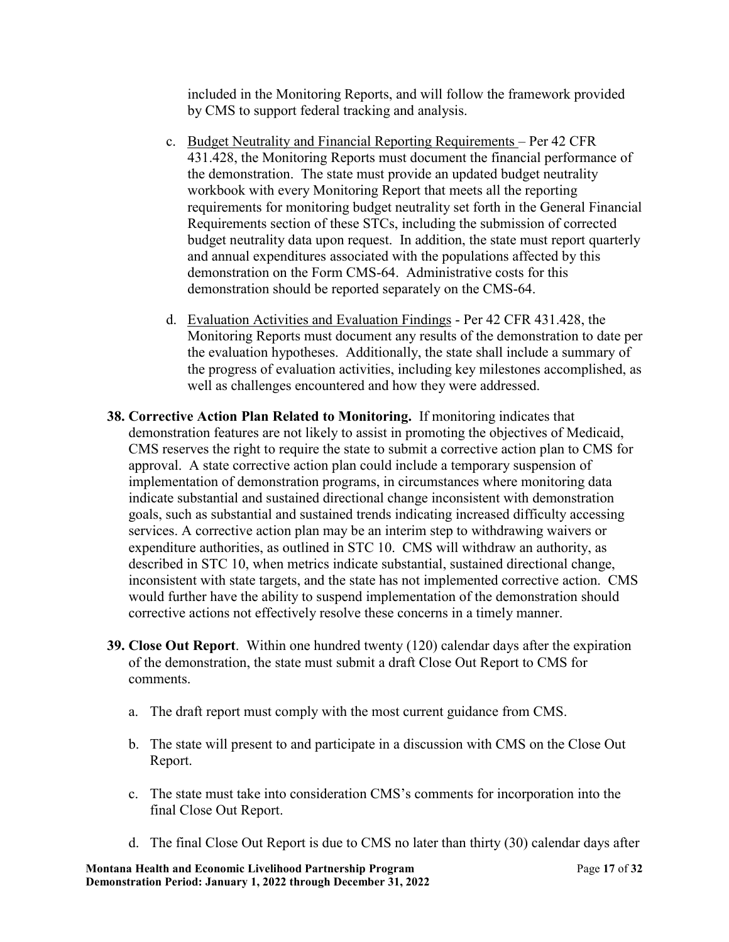included in the Monitoring Reports, and will follow the framework provided by CMS to support federal tracking and analysis.

- c. Budget Neutrality and Financial Reporting Requirements Per 42 CFR 431.428, the Monitoring Reports must document the financial performance of the demonstration. The state must provide an updated budget neutrality workbook with every Monitoring Report that meets all the reporting requirements for monitoring budget neutrality set forth in the General Financial Requirements section of these STCs, including the submission of corrected budget neutrality data upon request. In addition, the state must report quarterly and annual expenditures associated with the populations affected by this demonstration on the Form CMS-64. Administrative costs for this demonstration should be reported separately on the CMS-64.
- d. Evaluation Activities and Evaluation Findings Per 42 CFR 431.428, the Monitoring Reports must document any results of the demonstration to date per the evaluation hypotheses. Additionally, the state shall include a summary of the progress of evaluation activities, including key milestones accomplished, as well as challenges encountered and how they were addressed.
- **38. Corrective Action Plan Related to Monitoring.** If monitoring indicates that goals, such as substantial and sustained trends indicating increased difficulty accessing inconsistent with state targets, and the state has not implemented corrective action. CMS demonstration features are not likely to assist in promoting the objectives of Medicaid, CMS reserves the right to require the state to submit a corrective action plan to CMS for approval. A state corrective action plan could include a temporary suspension of implementation of demonstration programs, in circumstances where monitoring data indicate substantial and sustained directional change inconsistent with demonstration services. A corrective action plan may be an interim step to withdrawing waivers or expenditure authorities, as outlined in STC 10. CMS will withdraw an authority, as described in STC 10, when metrics indicate substantial, sustained directional change, would further have the ability to suspend implementation of the demonstration should corrective actions not effectively resolve these concerns in a timely manner.
- **39. Close Out Report**. Within one hundred twenty (120) calendar days after the expiration of the demonstration, the state must submit a draft Close Out Report to CMS for comments.
	- a. The draft report must comply with the most current guidance from CMS.
	- b. The state will present to and participate in a discussion with CMS on the Close Out Report.
	- final Close Out Report. c. The state must take into consideration CMS's comments for incorporation into the
	- d. The final Close Out Report is due to CMS no later than thirty (30) calendar days after

 **Montana Health and Economic Livelihood Partnership Program** Page **17** of **32 Demonstration Period: January 1, 2022 through December 31, 2022**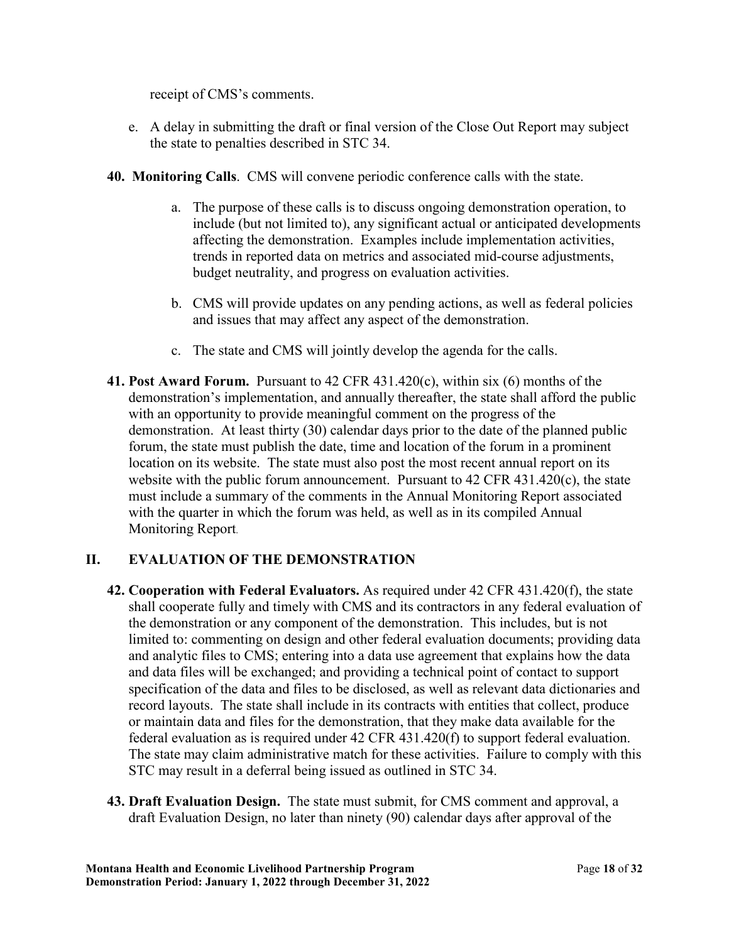receipt of CMS's comments.

- the state to penalties described in STC 34. e. A delay in submitting the draft or final version of the Close Out Report may subject
- 
- **40. Monitoring Calls**. CMS will convene periodic conference calls with the state.<br>a. The purpose of these calls is to discuss ongoing demonstration operation, to include (but not limited to), any significant actual or anticipated developments affecting the demonstration. Examples include implementation activities, trends in reported data on metrics and associated mid-course adjustments, budget neutrality, and progress on evaluation activities.
	- and issues that may affect any aspect of the demonstration. b. CMS will provide updates on any pending actions, as well as federal policies
	- c. The state and CMS will jointly develop the agenda for the calls.
- Monitoring Report. **41. Post Award Forum.** Pursuant to 42 CFR 431.420(c), within six (6) months of the demonstration's implementation, and annually thereafter, the state shall afford the public with an opportunity to provide meaningful comment on the progress of the demonstration. At least thirty (30) calendar days prior to the date of the planned public forum, the state must publish the date, time and location of the forum in a prominent location on its website. The state must also post the most recent annual report on its website with the public forum announcement. Pursuant to 42 CFR 431.420(c), the state must include a summary of the comments in the Annual Monitoring Report associated with the quarter in which the forum was held, as well as in its compiled Annual

## **II. EVALUATION OF THE DEMONSTRATION**

- and data files will be exchanged; and providing a technical point of contact to support STC may result in a deferral being issued as outlined in STC 34. **42. Cooperation with Federal Evaluators.** As required under 42 CFR 431.420(f), the state shall cooperate fully and timely with CMS and its contractors in any federal evaluation of the demonstration or any component of the demonstration. This includes, but is not limited to: commenting on design and other federal evaluation documents; providing data and analytic files to CMS; entering into a data use agreement that explains how the data specification of the data and files to be disclosed, as well as relevant data dictionaries and record layouts. The state shall include in its contracts with entities that collect, produce or maintain data and files for the demonstration, that they make data available for the federal evaluation as is required under 42 CFR 431.420(f) to support federal evaluation. The state may claim administrative match for these activities. Failure to comply with this
- draft Evaluation Design, no later than ninety (90) calendar days after approval of the **43. Draft Evaluation Design.** The state must submit, for CMS comment and approval, a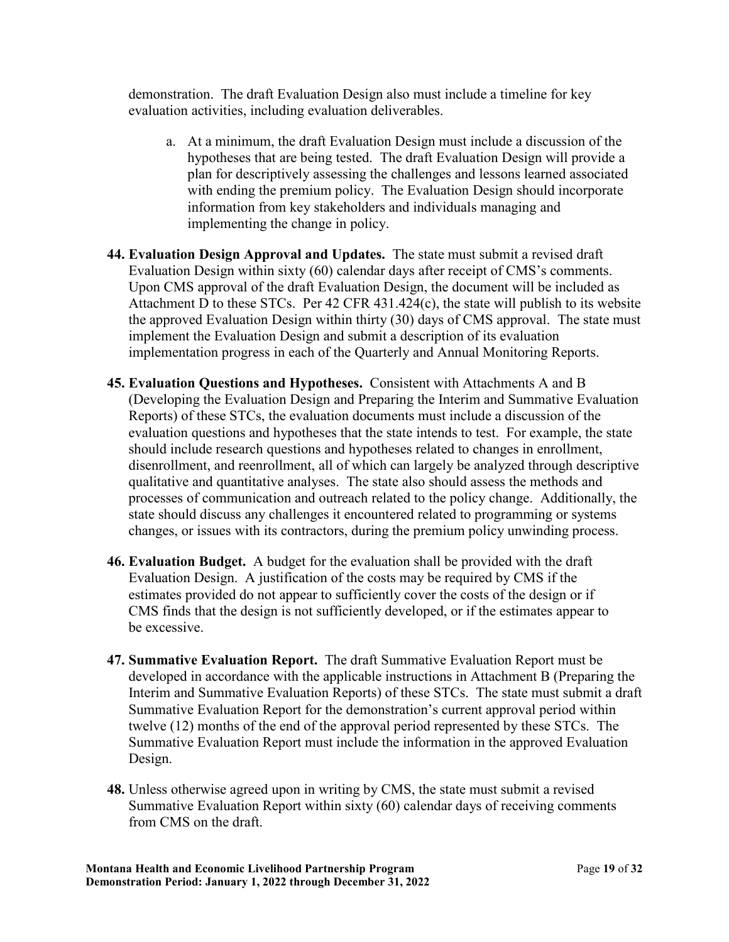demonstration. The draft Evaluation Design also must include a timeline for key evaluation activities, including evaluation deliverables.

- plan for descriptively assessing the challenges and lessons learned associated a. At a minimum, the draft Evaluation Design must include a discussion of the hypotheses that are being tested. The draft Evaluation Design will provide a with ending the premium policy. The Evaluation Design should incorporate information from key stakeholders and individuals managing and implementing the change in policy.
- Upon CMS approval of the draft Evaluation Design, the document will be included as **44. Evaluation Design Approval and Updates.** The state must submit a revised draft Evaluation Design within sixty (60) calendar days after receipt of CMS's comments. Attachment D to these STCs. Per 42 CFR 431.424(c), the state will publish to its website the approved Evaluation Design within thirty (30) days of CMS approval. The state must implement the Evaluation Design and submit a description of its evaluation implementation progress in each of the Quarterly and Annual Monitoring Reports.
- **45. Evaluation Questions and Hypotheses.** Consistent with Attachments A and B (Developing the Evaluation Design and Preparing the Interim and Summative Evaluation state should discuss any challenges it encountered related to programming or systems Reports) of these STCs, the evaluation documents must include a discussion of the evaluation questions and hypotheses that the state intends to test. For example, the state should include research questions and hypotheses related to changes in enrollment, disenrollment, and reenrollment, all of which can largely be analyzed through descriptive qualitative and quantitative analyses. The state also should assess the methods and processes of communication and outreach related to the policy change. Additionally, the changes, or issues with its contractors, during the premium policy unwinding process.
- **46. Evaluation Budget.** A budget for the evaluation shall be provided with the draft CMS finds that the design is not sufficiently developed, or if the estimates appear to Evaluation Design. A justification of the costs may be required by CMS if the estimates provided do not appear to sufficiently cover the costs of the design or if be excessive.
- twelve (12) months of the end of the approval period represented by these STCs. The **47. Summative Evaluation Report.** The draft Summative Evaluation Report must be developed in accordance with the applicable instructions in Attachment B (Preparing the Interim and Summative Evaluation Reports) of these STCs. The state must submit a draft Summative Evaluation Report for the demonstration's current approval period within Summative Evaluation Report must include the information in the approved Evaluation Design.
- Summative Evaluation Report within sixty (60) calendar days of receiving comments **48.** Unless otherwise agreed upon in writing by CMS, the state must submit a revised from CMS on the draft.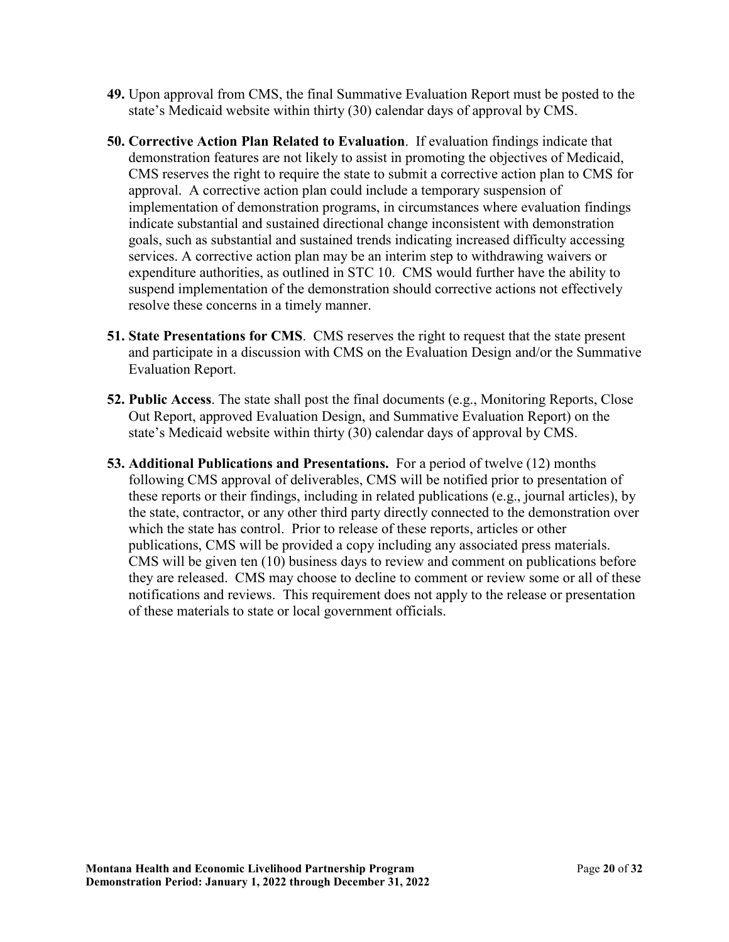- state's Medicaid website within thirty (30) calendar days of approval by CMS. **49.** Upon approval from CMS, the final Summative Evaluation Report must be posted to the
- goals, such as substantial and sustained trends indicating increased difficulty accessing **50. Corrective Action Plan Related to Evaluation**. If evaluation findings indicate that demonstration features are not likely to assist in promoting the objectives of Medicaid, CMS reserves the right to require the state to submit a corrective action plan to CMS for approval. A corrective action plan could include a temporary suspension of implementation of demonstration programs, in circumstances where evaluation findings indicate substantial and sustained directional change inconsistent with demonstration services. A corrective action plan may be an interim step to withdrawing waivers or expenditure authorities, as outlined in STC 10. CMS would further have the ability to suspend implementation of the demonstration should corrective actions not effectively resolve these concerns in a timely manner.
- Evaluation Report. **51. State Presentations for CMS**. CMS reserves the right to request that the state present and participate in a discussion with CMS on the Evaluation Design and/or the Summative
- state's Medicaid website within thirty (30) calendar days of approval by CMS. **52. Public Access**. The state shall post the final documents (e.g., Monitoring Reports, Close Out Report, approved Evaluation Design, and Summative Evaluation Report) on the
- **53. Additional Publications and Presentations.** For a period of twelve (12) months which the state has control. Prior to release of these reports, articles or other publications, CMS will be provided a copy including any associated press materials. they are released. CMS may choose to decline to comment or review some or all of these following CMS approval of deliverables, CMS will be notified prior to presentation of these reports or their findings, including in related publications (e.g., journal articles), by the state, contractor, or any other third party directly connected to the demonstration over CMS will be given ten (10) business days to review and comment on publications before notifications and reviews. This requirement does not apply to the release or presentation of these materials to state or local government officials.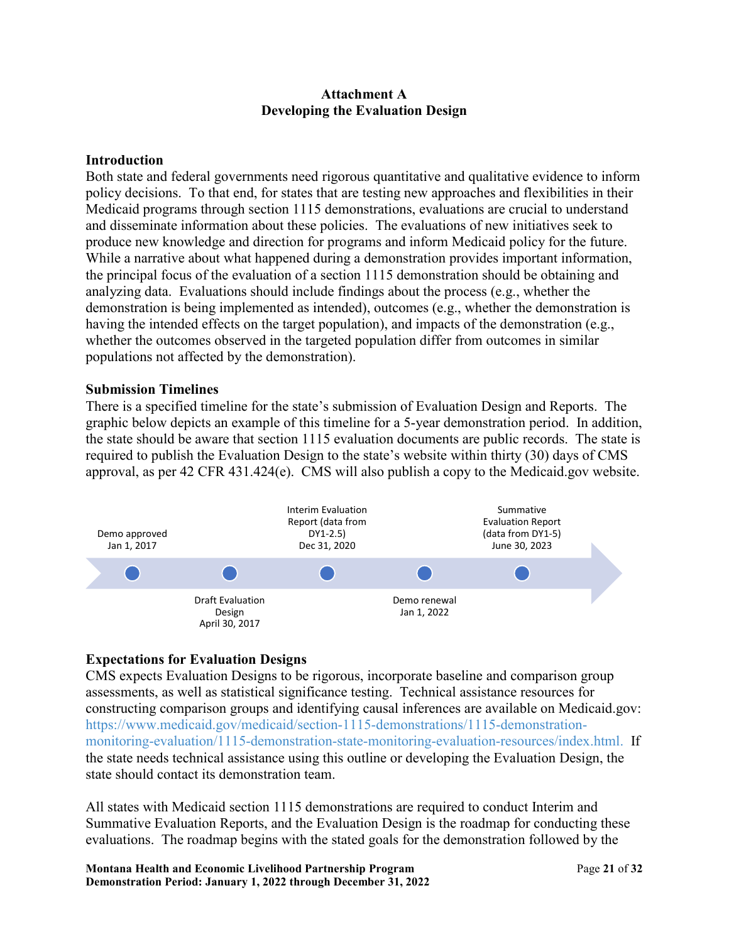### **Attachment A Developing the Evaluation Design**

### **Introduction**

Both state and federal governments need rigorous quantitative and qualitative evidence to inform policy decisions. To that end, for states that are testing new approaches and flexibilities in their Medicaid programs through section 1115 demonstrations, evaluations are crucial to understand and disseminate information about these policies. The evaluations of new initiatives seek to produce new knowledge and direction for programs and inform Medicaid policy for the future. While a narrative about what happened during a demonstration provides important information, the principal focus of the evaluation of a section 1115 demonstration should be obtaining and analyzing data. Evaluations should include findings about the process (e.g., whether the demonstration is being implemented as intended), outcomes (e.g., whether the demonstration is having the intended effects on the target population), and impacts of the demonstration (e.g., whether the outcomes observed in the targeted population differ from outcomes in similar populations not affected by the demonstration).

#### **Submission Timelines**

 required to publish the Evaluation Design to the state's website within thirty (30) days of CMS There is a specified timeline for the state's submission of Evaluation Design and Reports. The graphic below depicts an example of this timeline for a 5-year demonstration period. In addition, the state should be aware that section 1115 evaluation documents are public records. The state is approval, as per 42 CFR 431.424(e). CMS will also publish a copy to the [Medicaid.gov](https://Medicaid.gov) website.



# **Expectations for Evaluation Designs**

state should contact its demonstration team. CMS expects Evaluation Designs to be rigorous, incorporate baseline and comparison group assessments, as well as statistical significance testing. Technical assistance resources for constructing comparison groups and identifying causal inferences are available on Medicaid.gov: [https://www.medicaid.gov/medicaid/section-1115-demonstrations/1115-demonstration](https://www.medicaid.gov/medicaid/section-1115-demo/evaluation-reports/evaluation-designs-and-reports/index.html)[monitoring-evaluation/1115-demonstration-state-monitoring-evaluation-resources/index.html.](https://www.medicaid.gov/medicaid/section-1115-demo/evaluation-reports/evaluation-designs-and-reports/index.html) If the state needs technical assistance using this outline or developing the Evaluation Design, the

All states with Medicaid section 1115 demonstrations are required to conduct Interim and Summative Evaluation Reports, and the Evaluation Design is the roadmap for conducting these evaluations. The roadmap begins with the stated goals for the demonstration followed by the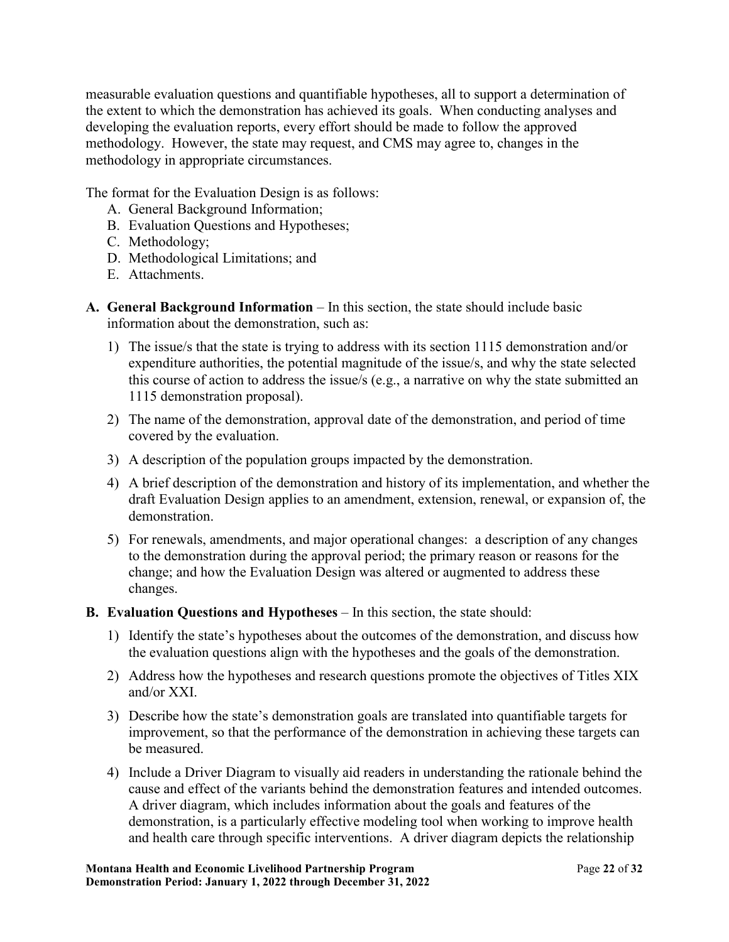methodology. However, the state may request, and CMS may agree to, changes in the measurable evaluation questions and quantifiable hypotheses, all to support a determination of the extent to which the demonstration has achieved its goals. When conducting analyses and developing the evaluation reports, every effort should be made to follow the approved methodology in appropriate circumstances.

The format for the Evaluation Design is as follows:

- A. General Background Information;
- B. Evaluation Questions and Hypotheses;
- C. Methodology;
- D. Methodological Limitations; and
- E. Attachments.
- **A. General Background Information** In this section, the state should include basic information about the demonstration, such as:
	- 1) The issue/s that the state is trying to address with its section 1115 demonstration and/or expenditure authorities, the potential magnitude of the issue/s, and why the state selected this course of action to address the issue/s (e.g., a narrative on why the state submitted an 1115 demonstration proposal).
	- 2) The name of the demonstration, approval date of the demonstration, and period of time covered by the evaluation.
	- 3) A description of the population groups impacted by the demonstration.
	- 4) A brief description of the demonstration and history of its implementation, and whether the draft Evaluation Design applies to an amendment, extension, renewal, or expansion of, the demonstration.
	- 5) For renewals, amendments, and major operational changes: a description of any changes to the demonstration during the approval period; the primary reason or reasons for the change; and how the Evaluation Design was altered or augmented to address these changes.
- **B. Evaluation Questions and Hypotheses**  In this section, the state should:
	- the evaluation questions align with the hypotheses and the goals of the demonstration. 1) Identify the state's hypotheses about the outcomes of the demonstration, and discuss how
	- 2) Address how the hypotheses and research questions promote the objectives of Titles XIX and/or XXI.
	- be measured. 3) Describe how the state's demonstration goals are translated into quantifiable targets for improvement, so that the performance of the demonstration in achieving these targets can
	- be measured.<br>4) Include a Driver Diagram to visually aid readers in understanding the rationale behind the A driver diagram, which includes information about the goals and features of the cause and effect of the variants behind the demonstration features and intended outcomes. demonstration, is a particularly effective modeling tool when working to improve health and health care through specific interventions. A driver diagram depicts the relationship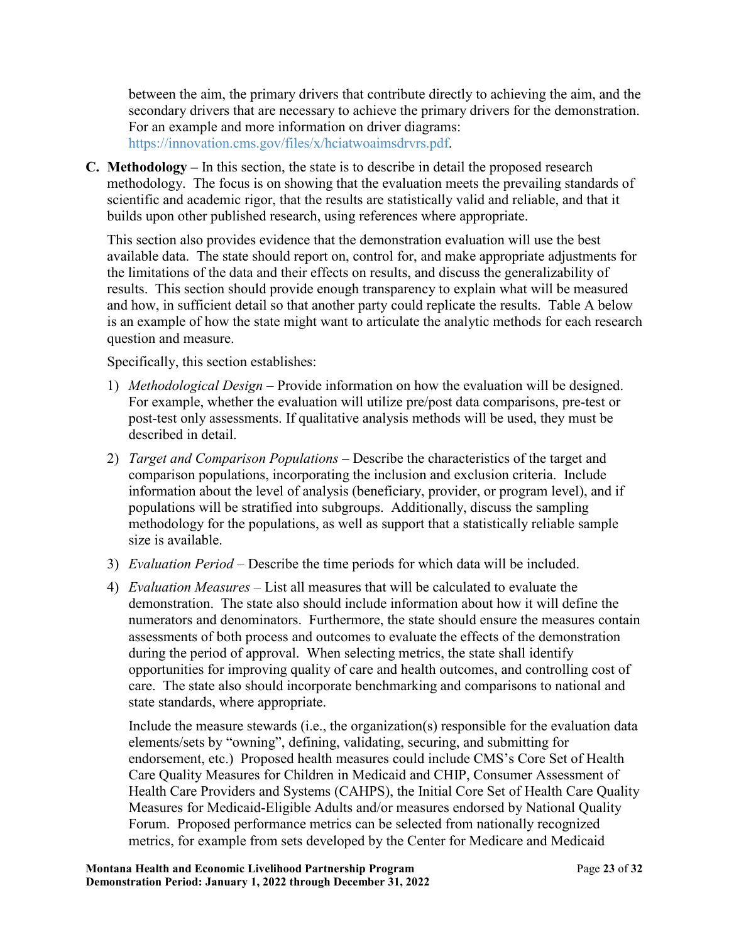between the aim, the primary drivers that contribute directly to achieving the aim, and the secondary drivers that are necessary to achieve the primary drivers for the demonstration. For an example and more information on driver diagrams: [https://innovation.cms.gov/files/x/hciatwoaimsdrvrs.pdf.](https://innovation.cms.gov/files/x/hciatwoaimsdrvrs.pdf)

**C. Methodology –** In this section, the state is to describe in detail the proposed research methodology. The focus is on showing that the evaluation meets the prevailing standards of scientific and academic rigor, that the results are statistically valid and reliable, and that it builds upon other published research, using references where appropriate.

 the limitations of the data and their effects on results, and discuss the generalizability of This section also provides evidence that the demonstration evaluation will use the best available data. The state should report on, control for, and make appropriate adjustments for results. This section should provide enough transparency to explain what will be measured and how, in sufficient detail so that another party could replicate the results. Table A below is an example of how the state might want to articulate the analytic methods for each research question and measure.

Specifically, this section establishes:

- post-test only assessments. If qualitative analysis methods will be used, they must be 1) *Methodological Design –* Provide information on how the evaluation will be designed. For example, whether the evaluation will utilize pre/post data comparisons, pre-test or described in detail.
- 2) *Target and Comparison Populations*  Describe the characteristics of the target and comparison populations, incorporating the inclusion and exclusion criteria. Include information about the level of analysis (beneficiary, provider, or program level), and if populations will be stratified into subgroups. Additionally, discuss the sampling methodology for the populations, as well as support that a statistically reliable sample size is available.
- 3) *Evaluation Period* Describe the time periods for which data will be included.
- 4) *Evaluation Measures* List all measures that will be calculated to evaluate the demonstration. The state also should include information about how it will define the numerators and denominators. Furthermore, the state should ensure the measures contain assessments of both process and outcomes to evaluate the effects of the demonstration during the period of approval. When selecting metrics, the state shall identify opportunities for improving quality of care and health outcomes, and controlling cost of care. The state also should incorporate benchmarking and comparisons to national and state standards, where appropriate.

 metrics, for example from sets developed by the Center for Medicare and Medicaid Include the measure stewards (i.e., the organization(s) responsible for the evaluation data elements/sets by "owning", defining, validating, securing, and submitting for endorsement, etc.) Proposed health measures could include CMS's Core Set of Health Care Quality Measures for Children in Medicaid and CHIP, Consumer Assessment of Health Care Providers and Systems (CAHPS), the Initial Core Set of Health Care Quality Measures for Medicaid-Eligible Adults and/or measures endorsed by National Quality Forum. Proposed performance metrics can be selected from nationally recognized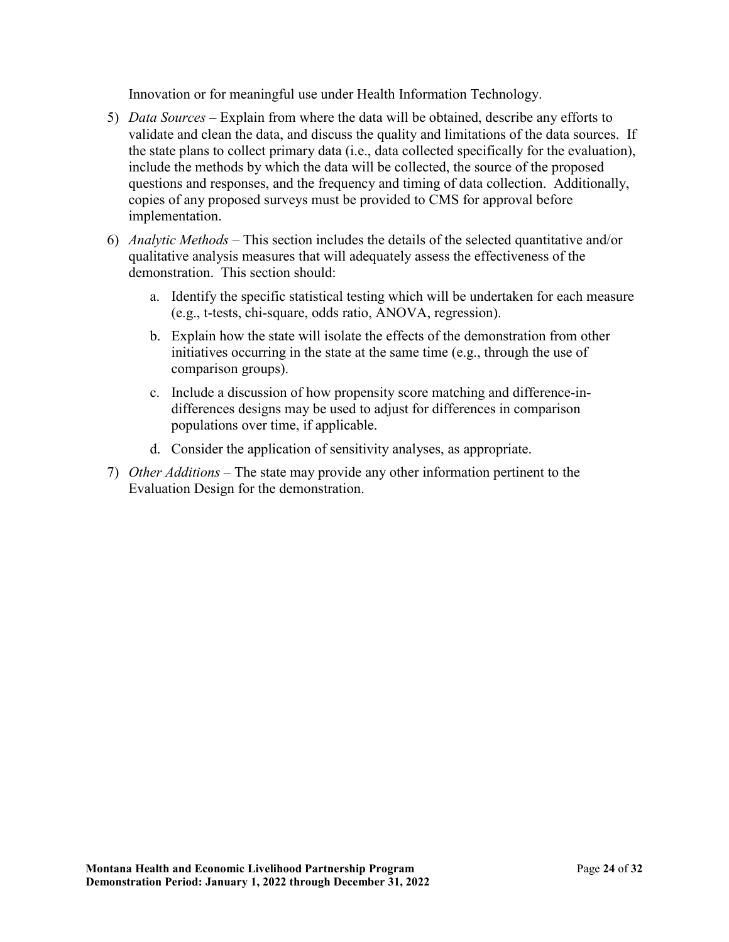Innovation or for meaningful use under Health Information Technology.

- 5) *Data Sources* Explain from where the data will be obtained, describe any efforts to validate and clean the data, and discuss the quality and limitations of the data sources. If the state plans to collect primary data (i.e., data collected specifically for the evaluation), include the methods by which the data will be collected, the source of the proposed questions and responses, and the frequency and timing of data collection. Additionally, copies of any proposed surveys must be provided to CMS for approval before implementation.
- 6) *Analytic Methods* This section includes the details of the selected quantitative and/or qualitative analysis measures that will adequately assess the effectiveness of the demonstration. This section should:
	- a. Identify the specific statistical testing which will be undertaken for each measure (e.g., t-tests, chi-square, odds ratio, ANOVA, regression).
	- b. Explain how the state will isolate the effects of the demonstration from other initiatives occurring in the state at the same time (e.g., through the use of comparison groups).
	- c. Include a discussion of how propensity score matching and difference-indifferences designs may be used to adjust for differences in comparison populations over time, if applicable.
	- d. Consider the application of sensitivity analyses, as appropriate.
- 7) *Other Additions*  The state may provide any other information pertinent to the Evaluation Design for the demonstration.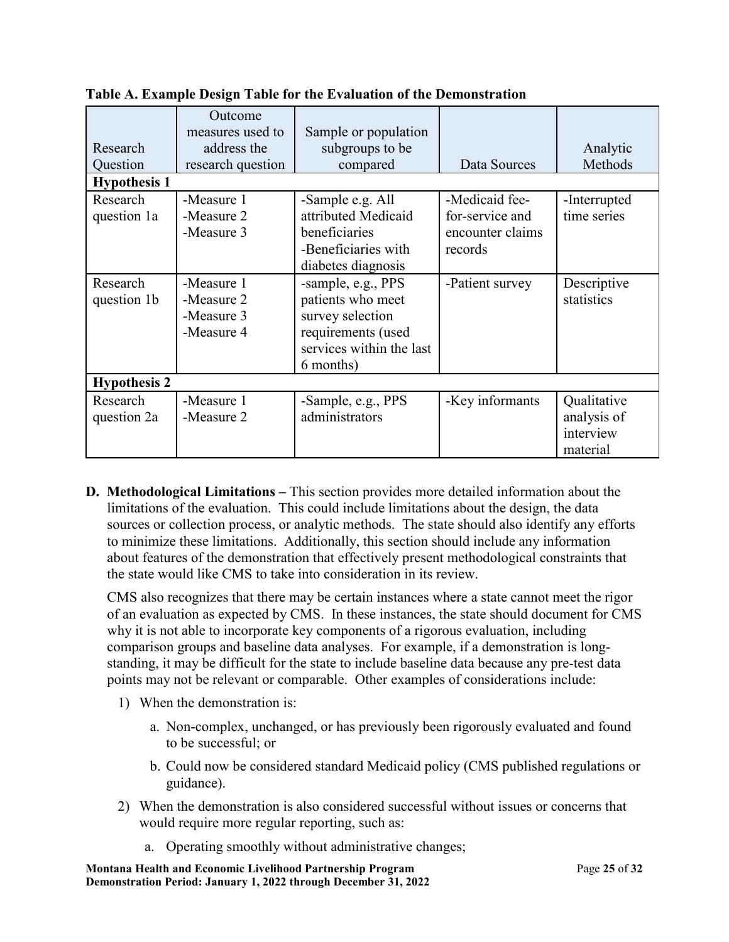| Research<br>Question    | Outcome<br>measures used to<br>address the<br>research question | Sample or population<br>subgroups to be<br>compared                                                                        | Data Sources                                                     | Analytic<br>Methods                                 |  |  |
|-------------------------|-----------------------------------------------------------------|----------------------------------------------------------------------------------------------------------------------------|------------------------------------------------------------------|-----------------------------------------------------|--|--|
| <b>Hypothesis 1</b>     |                                                                 |                                                                                                                            |                                                                  |                                                     |  |  |
| Research<br>question 1a | -Measure 1<br>-Measure 2<br>-Measure 3                          | -Sample e.g. All<br>attributed Medicaid<br>beneficiaries<br>-Beneficiaries with<br>diabetes diagnosis                      | -Medicaid fee-<br>for-service and<br>encounter claims<br>records | -Interrupted<br>time series                         |  |  |
| Research<br>question 1b | -Measure 1<br>-Measure 2<br>-Measure 3<br>-Measure 4            | -sample, e.g., PPS<br>patients who meet<br>survey selection<br>requirements (used<br>services within the last<br>6 months) | -Patient survey                                                  | Descriptive<br>statistics                           |  |  |
| <b>Hypothesis 2</b>     |                                                                 |                                                                                                                            |                                                                  |                                                     |  |  |
| Research<br>question 2a | -Measure 1<br>-Measure 2                                        | -Sample, e.g., PPS<br>administrators                                                                                       | -Key informants                                                  | Qualitative<br>analysis of<br>interview<br>material |  |  |

**Table A. Example Design Table for the Evaluation of the Demonstration** 

 **D. Methodological Limitations –** This section provides more detailed information about the sources or collection process, or analytic methods. The state should also identify any efforts the state would like CMS to take into consideration in its review. limitations of the evaluation. This could include limitations about the design, the data to minimize these limitations. Additionally, this section should include any information about features of the demonstration that effectively present methodological constraints that

CMS also recognizes that there may be certain instances where a state cannot meet the rigor of an evaluation as expected by CMS. In these instances, the state should document for CMS why it is not able to incorporate key components of a rigorous evaluation, including comparison groups and baseline data analyses. For example, if a demonstration is longstanding, it may be difficult for the state to include baseline data because any pre-test data points may not be relevant or comparable. Other examples of considerations include:

- 1) When the demonstration is:
	- to be successful: or a. Non-complex, unchanged, or has previously been rigorously evaluated and found
	- b. Could now be considered standard Medicaid policy (CMS published regulations or guidance).
- 2) When the demonstration is also considered successful without issues or concerns that would require more regular reporting, such as:
	- a. Operating smoothly without administrative changes;

 **Montana Health and Economic Livelihood Partnership Program** Page **25** of **32 Demonstration Period: January 1, 2022 through December 31, 2022**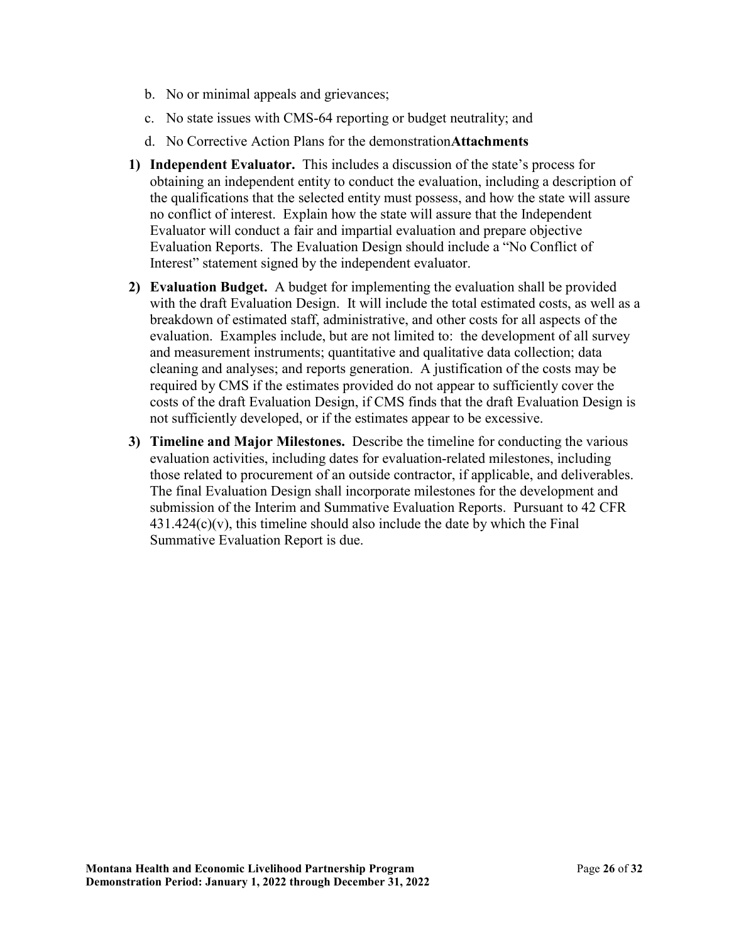- b. No or minimal appeals and grievances;
- c. No state issues with CMS-64 reporting or budget neutrality; and
- d. No Corrective Action Plans for the demonstration**Attachments**
- **1) Independent Evaluator.** This includes a discussion of the state's process for the qualifications that the selected entity must possess, and how the state will assure no conflict of interest. Explain how the state will assure that the Independent Evaluation Reports. The Evaluation Design should include a "No Conflict of obtaining an independent entity to conduct the evaluation, including a description of Evaluator will conduct a fair and impartial evaluation and prepare objective Interest" statement signed by the independent evaluator.
- **2) Evaluation Budget.** A budget for implementing the evaluation shall be provided with the draft Evaluation Design. It will include the total estimated costs, as well as a breakdown of estimated staff, administrative, and other costs for all aspects of the evaluation. Examples include, but are not limited to: the development of all survey and measurement instruments; quantitative and qualitative data collection; data cleaning and analyses; and reports generation. A justification of the costs may be required by CMS if the estimates provided do not appear to sufficiently cover the costs of the draft Evaluation Design, if CMS finds that the draft Evaluation Design is not sufficiently developed, or if the estimates appear to be excessive.
- **3) Timeline and Major Milestones.** Describe the timeline for conducting the various evaluation activities, including dates for evaluation-related milestones, including those related to procurement of an outside contractor, if applicable, and deliverables. The final Evaluation Design shall incorporate milestones for the development and submission of the Interim and Summative Evaluation Reports. Pursuant to 42 CFR  $431.424(c)(v)$ , this timeline should also include the date by which the Final Summative Evaluation Report is due.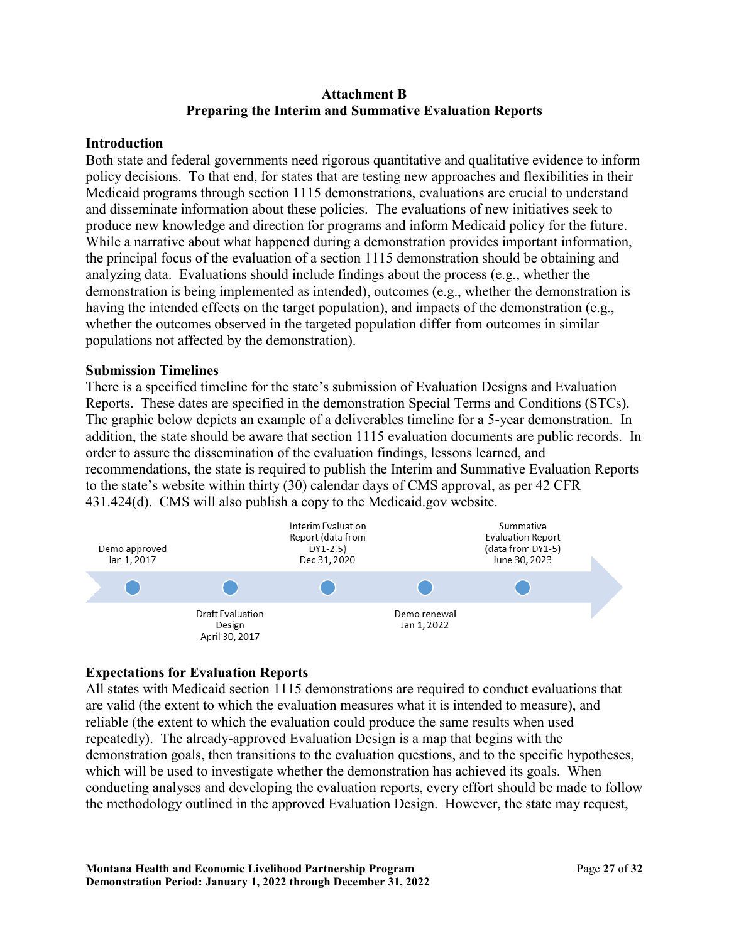#### **Attachment B Preparing the Interim and Summative Evaluation Reports**

#### **Introduction**

Both state and federal governments need rigorous quantitative and qualitative evidence to inform policy decisions. To that end, for states that are testing new approaches and flexibilities in their Medicaid programs through section 1115 demonstrations, evaluations are crucial to understand and disseminate information about these policies. The evaluations of new initiatives seek to produce new knowledge and direction for programs and inform Medicaid policy for the future. While a narrative about what happened during a demonstration provides important information, the principal focus of the evaluation of a section 1115 demonstration should be obtaining and analyzing data. Evaluations should include findings about the process (e.g., whether the demonstration is being implemented as intended), outcomes (e.g., whether the demonstration is having the intended effects on the target population), and impacts of the demonstration (e.g., whether the outcomes observed in the targeted population differ from outcomes in similar populations not affected by the demonstration).

### **Submission Timelines**

 to the state's website within thirty (30) calendar days of CMS approval, as per 42 CFR There is a specified timeline for the state's submission of Evaluation Designs and Evaluation Reports. These dates are specified in the demonstration Special Terms and Conditions (STCs). The graphic below depicts an example of a deliverables timeline for a 5-year demonstration. In addition, the state should be aware that section 1115 evaluation documents are public records. In order to assure the dissemination of the evaluation findings, lessons learned, and recommendations, the state is required to publish the Interim and Summative Evaluation Reports 431.424(d). CMS will also publish a copy to the Medicaid.gov website.



## **Expectations for Evaluation Reports**

 repeatedly). The already-approved Evaluation Design is a map that begins with the conducting analyses and developing the evaluation reports, every effort should be made to follow All states with Medicaid section 1115 demonstrations are required to conduct evaluations that are valid (the extent to which the evaluation measures what it is intended to measure), and reliable (the extent to which the evaluation could produce the same results when used demonstration goals, then transitions to the evaluation questions, and to the specific hypotheses, which will be used to investigate whether the demonstration has achieved its goals. When the methodology outlined in the approved Evaluation Design. However, the state may request,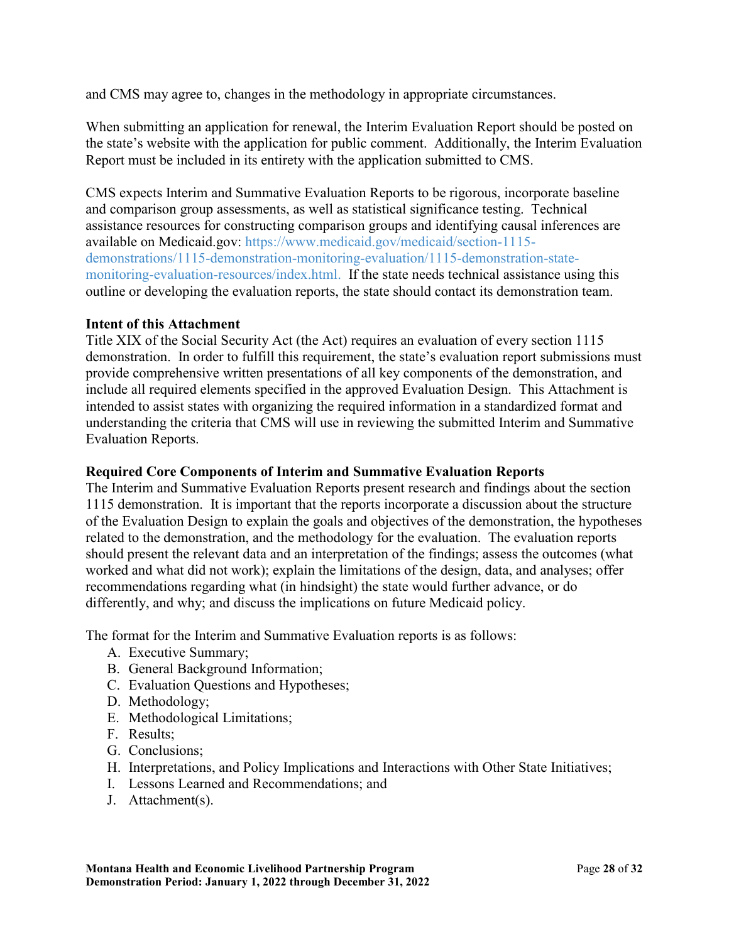and CMS may agree to, changes in the methodology in appropriate circumstances.

When submitting an application for renewal, the Interim Evaluation Report should be posted on the state's website with the application for public comment. Additionally, the Interim Evaluation Report must be included in its entirety with the application submitted to CMS.

 and comparison group assessments, as well as statistical significance testing. Technical outline or developing the evaluation reports, the state should contact its demonstration team. CMS expects Interim and Summative Evaluation Reports to be rigorous, incorporate baseline assistance resources for constructing comparison groups and identifying causal inferences are available on Medicaid.gov: [https://www.medicaid.gov/medicaid/section-1115](https://www.medicaid.gov/medicaid/section-1115-demo/evaluation-reports/evaluation-designs-and-reports/index.html) [demonstrations/1115-demonstration-monitoring-evaluation/1115-demonstration-state](https://www.medicaid.gov/medicaid/section-1115-demo/evaluation-reports/evaluation-designs-and-reports/index.html)[monitoring-evaluation-resources/index.html.](https://www.medicaid.gov/medicaid/section-1115-demo/evaluation-reports/evaluation-designs-and-reports/index.html) If the state needs technical assistance using this

### **Intent of this Attachment**

Title XIX of the Social Security Act (the Act) requires an evaluation of every section 1115 demonstration. In order to fulfill this requirement, the state's evaluation report submissions must provide comprehensive written presentations of all key components of the demonstration, and include all required elements specified in the approved Evaluation Design. This Attachment is intended to assist states with organizing the required information in a standardized format and understanding the criteria that CMS will use in reviewing the submitted Interim and Summative Evaluation Reports.

#### **Required Core Components of Interim and Summative Evaluation Reports**

differently, and why; and discuss the implications on future Medicaid policy. The Interim and Summative Evaluation Reports present research and findings about the section 1115 demonstration. It is important that the reports incorporate a discussion about the structure of the Evaluation Design to explain the goals and objectives of the demonstration, the hypotheses related to the demonstration, and the methodology for the evaluation. The evaluation reports should present the relevant data and an interpretation of the findings; assess the outcomes (what worked and what did not work); explain the limitations of the design, data, and analyses; offer recommendations regarding what (in hindsight) the state would further advance, or do

The format for the Interim and Summative Evaluation reports is as follows:

- A. Executive Summary;
- B. General Background Information;
- C. Evaluation Questions and Hypotheses;
- D. Methodology;
- E. Methodological Limitations;
- F. Results;
- G. Conclusions;
- H. Interpretations, and Policy Implications and Interactions with Other State Initiatives;
- I. Lessons Learned and Recommendations; and
- J. Attachment(s).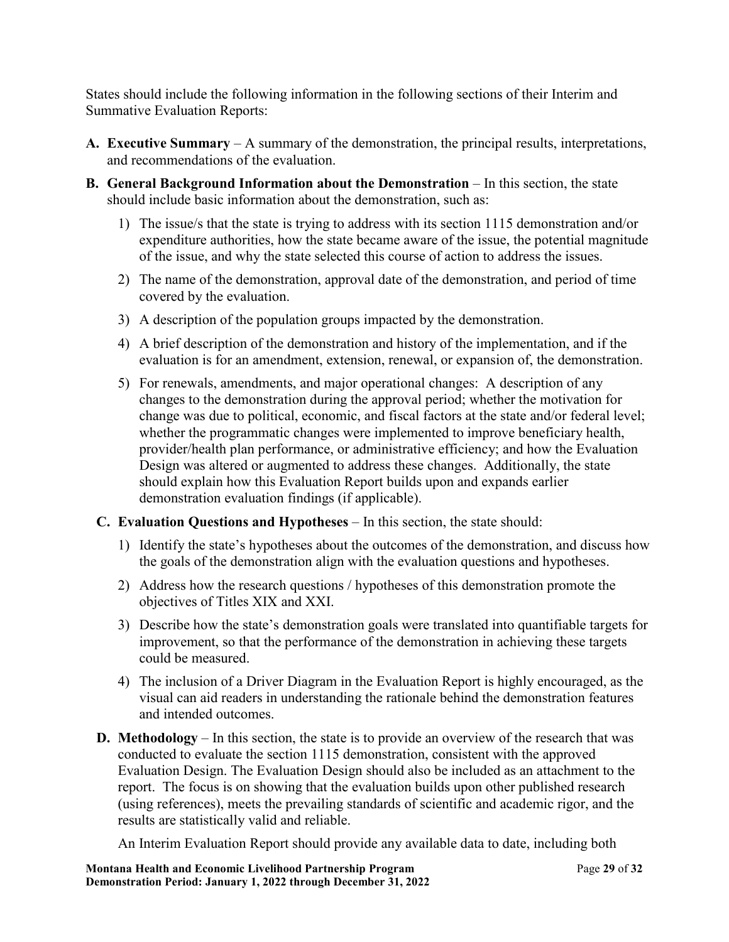States should include the following information in the following sections of their Interim and Summative Evaluation Reports:

- **A. Executive Summary**  A summary of the demonstration, the principal results, interpretations, and recommendations of the evaluation.
- **B. General Background Information about the Demonstration** In this section, the state should include basic information about the demonstration, such as:
	- 1) The issue/s that the state is trying to address with its section 1115 demonstration and/or expenditure authorities, how the state became aware of the issue, the potential magnitude of the issue, and why the state selected this course of action to address the issues.
	- 2) The name of the demonstration, approval date of the demonstration, and period of time covered by the evaluation.
	- 3) A description of the population groups impacted by the demonstration.
	- 4) A brief description of the demonstration and history of the implementation, and if the evaluation is for an amendment, extension, renewal, or expansion of, the demonstration.
	- demonstration evaluation findings (if applicable). 5) For renewals, amendments, and major operational changes: A description of any changes to the demonstration during the approval period; whether the motivation for change was due to political, economic, and fiscal factors at the state and/or federal level; whether the programmatic changes were implemented to improve beneficiary health, provider/health plan performance, or administrative efficiency; and how the Evaluation Design was altered or augmented to address these changes. Additionally, the state should explain how this Evaluation Report builds upon and expands earlier
	- **C. Evaluation Questions and Hypotheses**  In this section, the state should:
		- 1) Identify the state's hypotheses about the outcomes of the demonstration, and discuss how the goals of the demonstration align with the evaluation questions and hypotheses.
		- objectives of Titles XIX and XXI. 2) Address how the research questions / hypotheses of this demonstration promote the
		- 3) Describe how the state's demonstration goals were translated into quantifiable targets for improvement, so that the performance of the demonstration in achieving these targets could be measured.
		- 4) The inclusion of a Driver Diagram in the Evaluation Report is highly encouraged, as the visual can aid readers in understanding the rationale behind the demonstration features and intended outcomes.
	- **D. Methodology**  In this section, the state is to provide an overview of the research that was conducted to evaluate the section 1115 demonstration, consistent with the approved Evaluation Design. The Evaluation Design should also be included as an attachment to the report. The focus is on showing that the evaluation builds upon other published research (using references), meets the prevailing standards of scientific and academic rigor, and the results are statistically valid and reliable.

An Interim Evaluation Report should provide any available data to date, including both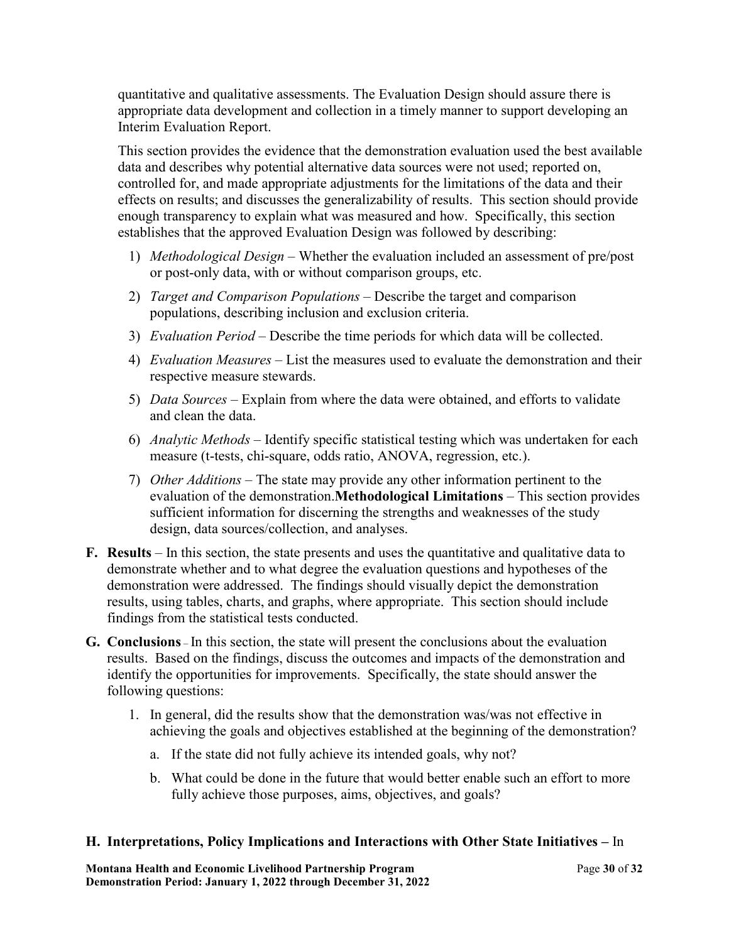quantitative and qualitative assessments. The Evaluation Design should assure there is appropriate data development and collection in a timely manner to support developing an Interim Evaluation Report.

 controlled for, and made appropriate adjustments for the limitations of the data and their effects on results; and discusses the generalizability of results. This section should provide This section provides the evidence that the demonstration evaluation used the best available data and describes why potential alternative data sources were not used; reported on, enough transparency to explain what was measured and how. Specifically, this section establishes that the approved Evaluation Design was followed by describing:

- 1) *Methodological Design*  Whether the evaluation included an assessment of pre/post or post-only data, with or without comparison groups, etc.
- 2) *Target and Comparison Populations*  Describe the target and comparison populations, describing inclusion and exclusion criteria.
- 3) *Evaluation Period*  Describe the time periods for which data will be collected.
- 4) *Evaluation Measures*  List the measures used to evaluate the demonstration and their respective measure stewards.
- and clean the data. 5) *Data Sources* – Explain from where the data were obtained, and efforts to validate
- and clean the data. 6) *Analytic Methods*  Identify specific statistical testing which was undertaken for each measure (t-tests, chi-square, odds ratio, ANOVA, regression, etc.).
- evaluation of the demonstration.**Methodological Limitations**  This section provides 7) *Other Additions* – The state may provide any other information pertinent to the sufficient information for discerning the strengths and weaknesses of the study design, data sources/collection, and analyses.
- **F. Results**  In this section, the state presents and uses the quantitative and qualitative data to demonstrate whether and to what degree the evaluation questions and hypotheses of the demonstration were addressed. The findings should visually depict the demonstration results, using tables, charts, and graphs, where appropriate. This section should include findings from the statistical tests conducted.
- **G. Conclusions**  In this section, the state will present the conclusions about the evaluation results. Based on the findings, discuss the outcomes and impacts of the demonstration and identify the opportunities for improvements. Specifically, the state should answer the following questions:
	- 1. In general, did the results show that the demonstration was/was not effective in
		- a. If the state did not fully achieve its intended goals, why not?
		- achieving the goals and objectives established at the beginning of the demonstration?<br>a. If the state did not fully achieve its intended goals, why not?<br>b. What could be done in the future that would better enable such an fully achieve those purposes, aims, objectives, and goals?

#### **H. Interpretations, Policy Implications and Interactions with Other State Initiatives –** In

 **Montana Health and Economic Livelihood Partnership Program** Page **30** of **32 Demonstration Period: January 1, 2022 through December 31, 2022**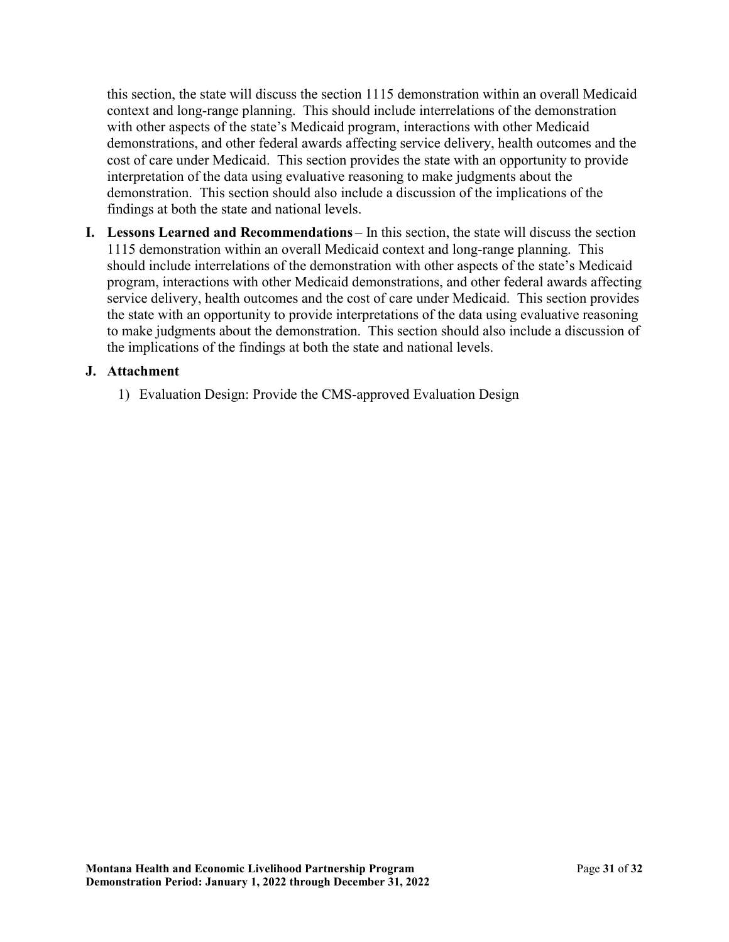interpretation of the data using evaluative reasoning to make judgments about the  demonstration. This section should also include a discussion of the implications of the this section, the state will discuss the section 1115 demonstration within an overall Medicaid context and long-range planning. This should include interrelations of the demonstration with other aspects of the state's Medicaid program, interactions with other Medicaid demonstrations, and other federal awards affecting service delivery, health outcomes and the cost of care under Medicaid. This section provides the state with an opportunity to provide findings at both the state and national levels.

**I.** Lessons Learned and Recommendations – In this section, the state will discuss the section 1115 demonstration within an overall Medicaid context and long-range planning. This should include interrelations of the demonstration with other aspects of the state's Medicaid program, interactions with other Medicaid demonstrations, and other federal awards affecting service delivery, health outcomes and the cost of care under Medicaid. This section provides the state with an opportunity to provide interpretations of the data using evaluative reasoning to make judgments about the demonstration. This section should also include a discussion of the implications of the findings at both the state and national levels.

### **J. Attachment**

1) Evaluation Design: Provide the CMS-approved Evaluation Design